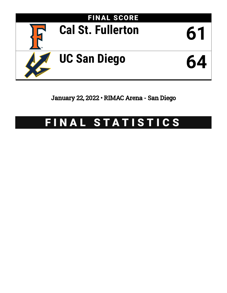

# January 22, 2022 • RIMAC Arena - San Diego

# FINAL STATISTICS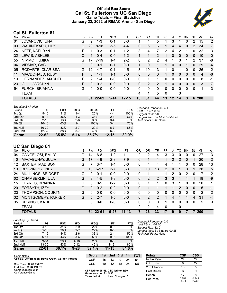# **Official Box Score Cal St. Fullerton vs UC San Diego Game Totals -- Final Statistics January 22, 2022 at RIMAC Arena - San Diego**



# **Cal St. Fullerton 61**

| No. | Plaver                  | S  | Pts           | FG        | 3FG     | FT        | 0R       | DR.          | TR             | PF       | A       | TO           | <b>B</b> lk | Stl            | Min  | $+/-$          |
|-----|-------------------------|----|---------------|-----------|---------|-----------|----------|--------------|----------------|----------|---------|--------------|-------------|----------------|------|----------------|
| 01  | JOVANOVIC, UNA          | G  | 2             | $1 - 3$   | 0-1     | $0-0$     |          | 4            | 5              |          | 3       |              | 0           | 2              | 15   | 2              |
| 03  | <b>WAHINEKAPU, LILY</b> | G  | 23            | $8 - 18$  | $3 - 5$ | $4 - 4$   | 0        | 6            | 6              | 1        | 4       | 4            | 0           | 2              | 34   | $\overline{7}$ |
| 24  | NEFF, KATHRYN           |    |               | $0 - 3$   | $0 - 1$ | $1 - 2$   | 3        | 4            | 7              | 2        | 4       | 2            |             | 0              | 32   | 3              |
| 32  | LEWIS, ASHLEE           | С  |               | $0 - 4$   | $0 - 0$ | $1 - 2$   |          | 1            | $\overline{2}$ | 1        | 0       | $\mathbf{0}$ | $\Omega$    | $\Omega$       | 10   | 0              |
| 55  | NIMMO, FUJIKA           | G  | 17            | $7 - 19$  | $1 - 4$ | $2 - 2$   | 0        | 2            | $\overline{2}$ | 4        |         | 3            |             | $\overline{2}$ | 37   | -8             |
| 04  | <b>VIDMAR, GABI</b>     | G  | $\Omega$      | $0 - 1$   | $0 - 1$ | $0 - 0$   |          | $\mathbf{0}$ |                |          | 0       | 0            |             | 0              | 29   | $-4$           |
| 05  | RODARTE, CLARISSA       | G  | 12            | $4 - 7$   | $0 - 1$ | $4 - 5$   | 3        | 10           | 13             | 1        | 0       |              | 0           | 0              | 26   | 2              |
| 11  | MACDONALD, RUBY         | F. | 3             | $1 - 1$   | $1 - 1$ | $0 - 0$   | $\Omega$ | $\Omega$     | $\Omega$       | 1        | 0       | $\Omega$     | $\Omega$    | $\Omega$       | 4    | -6             |
| 13  | HERNANDEZ, AIXCHEL      | F. | $\mathcal{P}$ | $1 - 4$   | $0 - 0$ | $0 - 0$   | 0        | 1            | 1              | 0        | 0       | 0            | $\Omega$    | 0              | 8    | $-1$           |
| 23  | GILL, CAROLYN           | F. | $\Omega$      | $0 - 2$   | $0 - 0$ | $0 - 0$   | 0        | 2            | 2              | 1        | 0       | $\mathbf{0}$ | 0           | $\Omega$       | 3    | $-7$           |
| 54  | <b>FURCH, BRIANNA</b>   | G  | $\Omega$      | $0 - 0$   | $0 - 0$ | $0 - 0$   | 0        | $\Omega$     | 0              | $\Omega$ | 0       | $\Omega$     | 0           | $\Omega$       | 1    | -3             |
|     | <b>TEAM</b>             |    |               |           |         |           | 4        | 1            | 5              | $\Omega$ |         | 3            |             |                |      |                |
|     | <b>TOTALS</b>           |    | 61            | $22 - 62$ | $5-14$  | $12 - 15$ | 13       | 31           | 44             | 13       | $12 \,$ | 14           | 3           | 6              | -200 |                |

| <b>Shooting By Period</b> |           |       |         |       |           |       |
|---------------------------|-----------|-------|---------|-------|-----------|-------|
| Period                    | FG        | FG%   | 3FG     | 3FG%  | FT        | FT%   |
| 1st Qtr                   | $5 - 16$  | 31%   | $1 - 4$ | 25%   | $4 - 4$   | 100%  |
| 2nd Qtr                   | $5 - 14$  | 36%   | $1 - 3$ | 33%   | $2 - 3$   | 67%   |
| 3rd Qtr                   | $2 - 16$  | 13%   | $2-6$   | 33%   | $3 - 4$   | 75%   |
| 4th Qtr                   | $10 - 16$ | 63%   | $1 - 1$ | 100%  | $3 - 4$   | 75%   |
| 1st Half                  | $10 - 30$ | 33%   | $2 - 7$ | 29%   | $6 - 7$   | 86%   |
| 2nd Half                  | $12 - 32$ | 38%   | $3 - 7$ | 43%   | $6 - 8$   | 75%   |
| Game                      | 22-62     | 35.5% | $5-14$  | 35.7% | $12 - 15$ | 80.0% |

*Deadball Rebounds:* 4,1 *Last FG:* 4th-00:38 *Biggest Run:* 7-0 *Largest lead:* By 10 at 3rd-07:49 *Technical Fouls:* None.

# **UC San Diego 64**

|     | <b>TOTALS</b>            |   |     | 64 22-61 | $9 - 28$ | $11 - 13$ |          | 26 | 33       | 17             | 19 | 9              |          |          | 200 |                |
|-----|--------------------------|---|-----|----------|----------|-----------|----------|----|----------|----------------|----|----------------|----------|----------|-----|----------------|
|     | <b>TEAM</b>              |   |     |          |          |           | 2        | 2  | 4        | 0              |    | 0              |          |          |     |                |
| 35  | <b>SPRINGS, KATIE</b>    | C | 0   | $0-0$    | $0 - 0$  | $0 - 0$   | O        | 0  | $\Omega$ |                | 0  | 0              | 0        | 0        | 5   | 9              |
| 32  | MONTGOMERY, PARKER       | G | 5.  | $2 - 7$  | $1 - 5$  | $0 - 0$   | 0        | 2  | 2        |                | 4  |                |          | 4        | 31  | $-4$           |
| 23  | <b>THOMPSON, COURTNI</b> | G | 0   | $0 - 0$  | $0 - 0$  | $0 - 0$   | $\Omega$ | 0  | $\Omega$ | 0              | 0  | 0              | $\Omega$ | $\Omega$ | 2   | $-2$           |
| 20  | FORSYTH, IZZY            | G | 0   | $0 - 2$  | $0 - 2$  | $0 - 0$   | 0        |    |          |                |    | 2              | 0        | $\Omega$ | 5   | $-1$           |
| 15  | <b>CLAROS, BRIANNA</b>   | G | 0   | $0 - 5$  | $0 - 2$  | $0 - 0$   | 0        |    |          | 0              | 3  |                | 0        | 0        | 20  | 1              |
| 02  | <b>CHAMBERLIN, ULA</b>   | G | 3   | $1 - 5$  | $1 - 3$  | $0 - 0$   | $\Omega$ | 2  | 2        | 3              | 3  |                |          |          | 18  | $-9$           |
| 24  | <b>MULLINGS, BRIDGET</b> | C | 0   | $0 - 1$  | $0 - 0$  | $0 - 0$   | 0        |    |          |                | 2  | 0              | 2        | 0        |     | -2             |
| 13  | <b>BROWN, SYDNEY</b>     | G | 18  | $6 - 17$ | $3 - 7$  | $3 - 3$   | 3        | 10 | 13       | $\overline{2}$ | 0  |                | 3        |          | 38  | 5              |
| 12  | <b>BAXTER, MADISON</b>   | G |     | $3 - 7$  | $1 - 4$  | $0 - 0$   | 0        | 4  | 4        | 4              |    |                | 0        | 0        | 28  | 13             |
| 10  | MACABUHAY, JULIA         | G | 17  | $4-9$    | $2 - 3$  | $7-9$     | 0        |    |          |                | 2  | $\overline{2}$ | 0        |          | 20  | $\overline{2}$ |
| 04  | CANGELOSI, EMILY         | G | 14  | $6 - 8$  | $1 - 2$  | 1-1       | 2        | 2  | 4        | 3              | 3  | 0              | 0        | 0        | 27  | 3              |
| No. | Player                   | S | Pts | FG       | 3FG      | FТ        | 0R       | DR | TR       | PF             | A  | TO             | Blk      | Stl      | Min | $+/-$          |

| <b>Shooting By Period</b> |          |       |          |       |           |       |
|---------------------------|----------|-------|----------|-------|-----------|-------|
| Period                    | FG       | FG%   | 3FG      | 3FG%  | FT        | FT%   |
| 1st Qtr                   | $4 - 13$ | 31%   | $2-9$    | 22%   | $0-0$     | 0%    |
| 2nd Qtr                   | $5 - 18$ | 28%   | $2 - 7$  | 29%   | $0-0$     | $0\%$ |
| 3rd Qtr                   | $7 - 16$ | 44%   | $2-6$    | 33%   | $2 - 4$   | 50%   |
| 4th Qtr                   | $6 - 14$ | 43%   | $3-6$    | 50%   | $9-9$     | 100%  |
| 1st Half                  | $9 - 31$ | 29%   | $4 - 16$ | 25%   | $0 - 0$   | $0\%$ |
| 2nd Half                  | 13-30    | 43%   | $5 - 12$ | 42%   | $11 - 13$ | 85%   |
| Game                      | 22-61    | 36.1% | $9 - 28$ | 32.1% | $11 - 13$ | 84.6% |

*Deadball Rebounds:* 2,0 *Last FG:* 4th-01:05 *Biggest Run:* 12-0 *Largest lead:* By 5 at 3rd-00:25 *Technical Fouls:* None.

Per Poss

0.859<br>28/71

0.941 27/68

| Game Notes:                                         | <b>Score</b>                             | 1st | 2nd | 3rd             | 4th | <b>TOT</b> | <b>Points</b>     | <b>CSF</b> | <b>CSD</b> |
|-----------------------------------------------------|------------------------------------------|-----|-----|-----------------|-----|------------|-------------------|------------|------------|
| Officials: Jeff Benson, David Arden, Gordon Torigoe | <b>CSF</b>                               | 15  | 13  |                 | 24  | 61         | In the Paint      | 22         | 22         |
| Start Time: 07:02 PM ET                             | CSD                                      | 10  | 12  | 18              | 24  | 64         | Off Turns         |            | 22         |
| End Time: 09:04 PM ET                               |                                          |     |     |                 |     |            | 2nd Chance        |            |            |
| Game Duration: 2:01<br>Conference Game:             | CSF led for 25:55, CSD led for 8:30.     |     |     |                 |     |            | <b>Fast Break</b> |            |            |
|                                                     | Game was tied for 5:35.<br>Times tied: 8 |     |     | Lead Changes: 8 |     |            | Bench             |            |            |
|                                                     |                                          |     |     |                 |     |            |                   |            |            |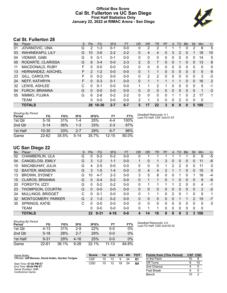### **Official Box Score Cal St. Fullerton vs UC San Diego First Half Statistics Only January 22, 2022 at RIMAC Arena - San Diego**



# **Cal St. Fullerton 28**

| No. | Plaver                  | S  | <b>Pts</b> | FG.      | 3FG     | <b>FT</b> | <b>OR</b>      | DR             | TR                    | <b>PF</b> | A | TO       | <b>B</b> lk | Stl      | <b>Min</b>  | $+/-$        |
|-----|-------------------------|----|------------|----------|---------|-----------|----------------|----------------|-----------------------|-----------|---|----------|-------------|----------|-------------|--------------|
| 01  | JOVANOVIC, UNA          | G  | 2          | $1 - 3$  | 0-1     | $0-0$     | 0              | 2              | 2                     |           |   |          | 0           | 2        | 8           | 5            |
| 03  | <b>WAHINEKAPU, LILY</b> | G  | 10         | $3-6$    | $2 - 2$ | $2 - 2$   | 0              | 4              | 4                     | 0         | 3 | 2        | 0           | 1        | 18          | 10           |
| 04  | <b>VIDMAR, GABI</b>     | G  | $\Omega$   | $0 - 1$  | $0 - 1$ | $0-0$     | 0              | 0              | 0                     | 0         | 0 | 0        | $\Omega$    | 0        | 14          | 5            |
| 05  | RODARTE, CLARISSA       | G  | 8          | $3 - 4$  | $0 - 0$ | $2 - 3$   | $\overline{2}$ | 5              | 7                     | $\Omega$  | 0 |          | $\Omega$    | 0        | 13          | 8            |
| 11  | MACDONALD, RUBY         | F  | $\Omega$   | $0 - 0$  | $0 - 0$ | $0-0$     | $\mathbf{0}$   | 0              | 0                     | 0         | 0 | 0        | 0           | 0        | $\mathbf 0$ | $\mathbf{0}$ |
| 13  | HERNANDEZ, AIXCHEL      | F. | 2          | $1 - 2$  | $0 - 0$ | $0 - 0$   | 0              | 1              | 1                     | 0         | 0 | $\Omega$ | $\Omega$    | 0        | 5           | 6            |
| 23  | GILL, CAROLYN           | F  | $\Omega$   | $0 - 2$  | $0 - 0$ | $0-0$     | 0              | $\overline{2}$ | $\mathbf{2}^{\prime}$ | 0         | 0 | 0        | 0           | 0        | 3           | $-3$         |
| 24  | NEFF, KATHRYN           | F  | $\Omega$   | $0 - 3$  | $0 - 1$ | $0 - 0$   | 0              | 1              | 1                     |           |   | 1        | 0           | $\Omega$ | 16          | 2            |
| 32  | LEWIS, ASHLEE           | С  | $\Omega$   | $0 - 1$  | $0 - 0$ | $0 - 0$   | 1              | 1              | 2                     | 1         | 0 | 0        | 0           | 0        | 5           | -1           |
| 54  | <b>FURCH, BRIANNA</b>   | G  | $\Omega$   | $0 - 0$  | $0 - 0$ | $0 - 0$   | 0              | 0              | 0                     | $\Omega$  | 0 | $\Omega$ | $\Omega$    | 0        | 1           | $-3$         |
| 55  | NIMMO, FUJIKA           | G  | 6          | $2 - 8$  | $0 - 2$ | $2 - 2$   | 0              | 0              | 0                     | 0         |   |          | 0           | 2        | 17          | 1            |
|     | <b>TEAM</b>             |    | 0          | $0 - 0$  | $0 - 0$ | $0 - 0$   | $\overline{2}$ | 1              | 3                     | 0         | 0 | 2        | $\Omega$    | 0        | 0           |              |
|     | <b>TOTALS</b>           |    |            | 28 10-30 | $2 - 7$ | $6 - 7$   | 5              | 17             | 22                    | 3         | 6 | 8        | 0           | 5        | 100         |              |

| <b>Shooting By Period</b><br>Period | FG        | FG%   | 3FG     | 3FG%  | FТ      | FT%   | D |
|-------------------------------------|-----------|-------|---------|-------|---------|-------|---|
| 1st Otr                             | $5 - 16$  | 31%   | 1-4     | 25%   | 4-4     | 100%  |   |
| 2nd Qtr                             | $5 - 14$  | 36%   | $1 - 3$ | 33%   | $2-3$   | 67%   |   |
| 1st Half                            | $10 - 30$ | 33%   | $2 - 7$ | 29%   | $6 - 7$ | 86%   |   |
| Game                                | 22-62     | 35.5% | $5-14$  | 35.7% | 12-15   | 80.0% |   |

*Deadball Rebounds:* 4,1 *Last FG Half:* CSF 2nd-01:57

# **UC San Diego 22**

| No. | Plaver                   | S | <b>Pts</b>    | FG       | 3FG      | <b>FT</b> | <b>OR</b> | <b>DR</b> | TR | PF       | A | TO | <b>Blk</b>   | Stl          | Min | $+/-$        |
|-----|--------------------------|---|---------------|----------|----------|-----------|-----------|-----------|----|----------|---|----|--------------|--------------|-----|--------------|
| 02  | CHAMBERLIN, ULA          | G | 0             | $0 - 2$  | $0 - 2$  | $0-0$     | 0         |           |    |          |   |    |              | 0            | 9   | $-5$         |
| 04  | CANGELOSI, EMILY         | G | 3             | $1 - 2$  | $1 - 1$  | $0 - 0$   |           | 0         |    | 3        | 0 | 0  | $\mathbf{0}$ | 0            | 11  | -6           |
| 10  | MACABUHAY, JULIA         | G | 4             | $2 - 5$  | $0 - 0$  | $0 - 0$   | 0         | 0         | 0  |          | 2 | 2  | 0            | 0            | 11  | 0            |
| 12  | <b>BAXTER, MADISON</b>   | G | 3             | $1 - 5$  | 1-4      | $0 - 0$   | 0         | 4         | 4  | 2        |   |    | $\mathbf{0}$ | 0            | 15  | $\mathbf{0}$ |
| 13  | <b>BROWN, SYDNEY</b>     | G | 10            | $4 - 7$  | $2 - 3$  | $0 - 0$   | 3         | 5         | 8  | 0        | 0 |    | 0            |              | 18  | $-4$         |
| 15  | <b>CLAROS, BRIANNA</b>   | G | 0             | $0 - 4$  | $0 - 2$  | $0 - 0$   | 0         |           |    | $\Omega$ | 1 | 0  | $\Omega$     | $\Omega$     | 9   | $-6$         |
| 20  | FORSYTH, IZZY            | G | 0             | $0 - 2$  | $0 - 2$  | $0 - 0$   | 0         |           |    |          |   | 2  | $\Omega$     | 0            | 4   | $-1$         |
| 23  | THOMPSON, COURTNI        | G | 0             | $0 - 0$  | $0 - 0$  | $0 - 0$   | 0         | 0         | 0  | 0        | 0 | 0  | 0            | $\mathbf{0}$ | 2   | $-2$         |
| 24  | <b>MULLINGS, BRIDGET</b> | С | 0             | $0 - 1$  | $0 - 0$  | $0 - 0$   | 0         |           |    | 0        | 2 | 0  |              | 0            | 5   | 1            |
| 32  | MONTGOMERY, PARKER       | G | $\mathcal{P}$ | $1 - 3$  | $0 - 2$  | $0 - 0$   | 0         | 0         | 0  | 0        | 0 |    |              | 2            | 15  | $-7$         |
| 35  | SPRINGS, KATIE           | C | 0             | $0 - 0$  | $0 - 0$  | $0 - 0$   | 0         | 0         | 0  | 0        | 0 | 0  | 0            | 0            | 0   | 0            |
|     | <b>TEAM</b>              |   | 0             | $0 - 0$  | $0 - 0$  | $0 - 0$   | 0         |           |    | 0        | 0 | 0  | $\mathbf{0}$ | 0            | 0   |              |
|     | <b>TOTALS</b>            |   | 22            | $9 - 31$ | $4 - 16$ | $0 - 0$   | 4         | 14        | 18 | 8        | 8 | 8  | 3            | 3            | 100 |              |

| <b>Shooting By Period</b><br>Period | FG       | FG%   | 3FG     | 3FG%       | FT        | FT%   |
|-------------------------------------|----------|-------|---------|------------|-----------|-------|
| 1st Otr                             | 4-13     | 31%   | 2-9     | 22%        | $0 - 0$   | 0%    |
| 2nd Otr                             | $5 - 18$ | 28%   | $2 - 7$ | <b>29%</b> | $0 - 0$   | $0\%$ |
| 1st Half                            | $9 - 31$ | 29%   | 4-16    | 25%        | $0 - 0$   | $0\%$ |
| Game                                | 22-61    | 36.1% | $9-28$  | 32.1%      | $11 - 13$ | 84.6% |

*Deadball Rebounds:* 2,0 *Last FG Half:* CSD 2nd-00:32

| Game Notes:                                         | <b>Score</b> | 1st | 2nd | 3rd | 4th | <b>TOT</b> | <b>Points from (This Period)</b> |    | <b>CSF CSD</b> |
|-----------------------------------------------------|--------------|-----|-----|-----|-----|------------|----------------------------------|----|----------------|
| Officials: Jeff Benson, David Arden, Gordon Torigoe | CSF          | 15  |     |     | 24  | -61        | In the Paint                     | 10 |                |
| Start Time: 07:02 PM ET                             | CSD          | 10  |     | 18  | 24  | -64        | Off Turns                        |    |                |
| End Time: 09:04 PM ET                               |              |     |     |     |     |            | 2nd Chance                       |    |                |
| Game Duration: 2:01<br>Conference Game:             |              |     |     |     |     |            | <b>Fast Break</b>                |    |                |
|                                                     |              |     |     |     |     |            | Bench                            | 10 |                |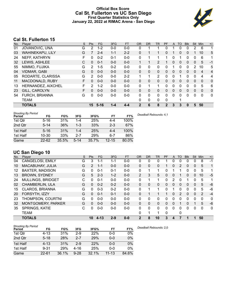# **Official Box Score Cal St. Fullerton vs UC San Diego First Quarter Statistics Only January 22, 2022 at RIMAC Arena - San Diego**



# **Cal St. Fullerton 15**

| No. | Plaver              | S  | <b>Pts</b>     | <b>FG</b> | 3FG     | <b>FT</b> | 0R           | DR           | <b>TR</b>      | <b>PF</b>    | A        | TO       | <b>Blk</b> | <b>Stl</b>     | Min      | $+/-$          |
|-----|---------------------|----|----------------|-----------|---------|-----------|--------------|--------------|----------------|--------------|----------|----------|------------|----------------|----------|----------------|
| 01  | JOVANOVIC, UNA      | G  | 2              | $1 - 2$   | $0 - 0$ | $0-0$     | 0            |              |                | 0            |          | 0        | 0          | 2              | 6        | 1              |
| 03  | WAHINEKAPU, LILY    | G  |                | $2 - 4$   | $1 - 1$ | $2 - 2$   | 0            |              | 1              | $\Omega$     |          | 0        | 0          |                | 10       | 5              |
| 24  | NEFF, KATHRYN       | F  | 0              | $0 - 2$   | $0 - 1$ | $0 - 0$   | 0            |              |                |              | 0        |          | 0          | 0              | 6        | 1              |
| 32  | LEWIS, ASHLEE       | С  | $\mathbf{0}$   | $0 - 1$   | $0 - 0$ | $0 - 0$   | 1            |              | $\overline{2}$ |              | 0        | 0        | $\Omega$   | $\Omega$       | 5        | $-1$           |
| 55  | NIMMO, FUJIKA       | G  | $\overline{2}$ | $1-5$     | $0 - 2$ | $0 - 0$   | $\mathbf{0}$ | $\mathbf{0}$ | 0              | 0            |          | 0        | 0          | $\overline{2}$ | 10       | 5              |
| 04  | <b>VIDMAR, GABI</b> | G  | $\mathbf{0}$   | $0 - 0$   | $0 - 0$ | $0 - 0$   | $\Omega$     | $\mathbf{0}$ | 0              | $\Omega$     | $\Omega$ | 0        | 0          | 0              | 4        | $\overline{4}$ |
| 05  | RODARTE, CLARISSA   | G  | 2              | $0 - 0$   | $0 - 0$ | $2 - 2$   |              | 1            | 2              | $\Omega$     | 0        |          | 0          | 0              | 4        | 4              |
| 11  | MACDONALD, RUBY     | F. | $\Omega$       | $0 - 0$   | $0 - 0$ | $0 - 0$   | $\Omega$     | $\Omega$     | 0              | $\Omega$     | $\Omega$ | $\Omega$ | 0          | $\Omega$       | $\Omega$ | 0              |
| 13  | HERNANDEZ, AIXCHEL  | F  | 2              | $1 - 2$   | $0 - 0$ | $0 - 0$   | $\mathbf{0}$ |              |                | 0            | $\Omega$ | 0        | 0          | 0              | 5        | 6              |
| 23  | GILL, CAROLYN       | F. | $\Omega$       | $0 - 0$   | $0 - 0$ | $0 - 0$   | $\Omega$     | $\Omega$     | 0              | $\Omega$     | $\Omega$ | 0        | $\Omega$   | $\Omega$       | $\Omega$ | 0              |
| 54  | FURCH, BRIANNA      | G  | 0              | $0 - 0$   | $0-0$   | $0 - 0$   | $\Omega$     | 0            | $\Omega$       | 0            | $\Omega$ | 0        | 0          | $\Omega$       | $\Omega$ | 0              |
|     | TEAM                |    |                |           |         |           | 0            | 0            | 0              | 0            |          |          |            |                |          |                |
|     | <b>TOTALS</b>       |    | 15             | $5 - 16$  | 1-4     | 4-4       | 2            | 6            | 8              | $\mathbf{2}$ | 3        | 3        | 0          | 5              | 50       |                |

| <b>Shooting By Period</b><br>Period | FG        | FG%   | 3FG      | 3FG%  | FT        | FT%   | Deadball Rebounds: 4,1 |
|-------------------------------------|-----------|-------|----------|-------|-----------|-------|------------------------|
| 1st Qtr                             | $5 - 16$  | 31%   | $1 - 4$  | 25%   | 4-4       | 100%  |                        |
| 2nd Qtr                             | $5 - 14$  | 36%   | $1 - 3$  | 33%   | $2 - 3$   | 67%   |                        |
| 1st Half                            | $5 - 16$  | 31%   | $1 - 4$  | 25%   | 4-4       | 100%  |                        |
| 1st Half                            | $10 - 30$ | 33%   | $2 - 7$  | 29%   | $6 - 7$   | 86%   |                        |
| Game                                | $22 - 62$ | 35.5% | $5 - 14$ | 35.7% | $12 - 15$ | 80.0% |                        |

# **UC San Diego 10**

| No. | Plaver                    | S | Pts      | <b>FG</b> | 3FG     | <b>FT</b> | 0R             | <b>DR</b> | TR           | PF | A            | TO       | <b>Blk</b> | Stl          | Min      | $+/-$        |
|-----|---------------------------|---|----------|-----------|---------|-----------|----------------|-----------|--------------|----|--------------|----------|------------|--------------|----------|--------------|
| 04  | CANGELOSI, EMILY          | G | 3        | 1-1       | 1-1     | 0-0       | 0              | 0         | 0            |    | 0            |          | 0          | 0            | 8        | $-1$         |
| 10  | MACABUHAY, JULIA          | G | 2        | $1 - 1$   | $0 - 0$ | $0-0$     | 0              | 0         | 0            |    | 0            | 2        | 0          | $\mathbf{0}$ | 5        | 1            |
| 12  | <b>BAXTER, MADISON</b>    | G | 0        | $0 - 1$   | $0 - 1$ | $0-0$     | 0              |           | 1.           | 0  |              |          | 0          | 0            | 5        | 1            |
| 13  | <b>BROWN, SYDNEY</b>      | G | 5        | $2 - 3$   | $1 - 2$ | $0 - 0$   | $\overline{2}$ | 3         | 5            | 0  | $\mathbf{0}$ |          | 0          | 0            | 10       | $-5$         |
| 24  | MULLINGS, BRIDGET         | C | 0        | $0 - 1$   | $0 - 0$ | $0-0$     | 0              |           | 1            | 0  | 2            | 0        |            | 0            | 5        | 1            |
| 02  | <b>CHAMBERLIN, ULA</b>    | G | $\Omega$ | $0 - 2$   | $0 - 2$ | $0 - 0$   | $\Omega$       | $\Omega$  | $\Omega$     | 0  | $\Omega$     | $\Omega$ | 0          | $\Omega$     | 5        | $-6$         |
| 15  | CLAROS, BRIANNA           | G | 0        | $0 - 3$   | $0 - 2$ | $0-0$     | 0              |           | 1.           | 0  |              | 0        | 0          | 0            | 5        | -6           |
| 20  | FORSYTH, IZZY             | G | $\Omega$ | $0 - 1$   | $0 - 1$ | $0 - 0$   | 0              |           | 1            |    | 0            | 2        | 0          | $\Omega$     | 2        | $-4$         |
| 23  | THOMPSON, COURTNI         | G | 0        | $0 - 0$   | $0 - 0$ | $0 - 0$   | 0              | 0         | 0            | 0  | 0            | ∩        | 0          | 0            | $\Omega$ | 0            |
| 32  | <b>MONTGOMERY, PARKER</b> | G | $\Omega$ | $0 - 0$   | $0 - 0$ | $0 - 0$   | 0              | 0         | 0            | 0  | $\mathbf{0}$ |          | 0          |              | 5        | $-6$         |
| 35  | SPRINGS, KATIE            | C | U        | $0-0$     | $0 - 0$ | $0-0$     | 0              | 0         | $\mathbf{0}$ | 0  | 0            | $\Omega$ | 0          | $\Omega$     | $\Omega$ | $\mathbf{0}$ |
|     | <b>TEAM</b>               |   |          |           |         |           | 0              | 1         | 1            | 0  |              | $\Omega$ |            |              |          |              |
|     | <b>TOTALS</b>             |   | 10       | $4 - 13$  | $2 - 9$ | $0 - 0$   | $\mathbf{2}$   | 8         | 10           | 3  | 4            |          |            |              | 50       |              |

| <b>Shooting By Period</b> |           |            |          |       |           |       |       |
|---------------------------|-----------|------------|----------|-------|-----------|-------|-------|
| Period                    | FG        | FG%        | 3FG      | 3FG%  | FT        | FT%   | Deadl |
| 1st Qtr                   | $4 - 13$  | 31%        | $2-9$    | 22%   | 0-0       | 0%    |       |
| 2nd Qtr                   | $5 - 18$  | <b>28%</b> | $2 - 7$  | 29%   | $0 - 0$   | $0\%$ |       |
| 1st Half                  | $4 - 13$  | 31%        | $2-9$    | 22%   | $0 - 0$   | $0\%$ |       |
| 1st Half                  | $9 - 31$  | 29%        | $4 - 16$ | 25%   | $0 - 0$   | 0%    |       |
| Game                      | $22 - 61$ | 36.1%      | $9 - 28$ | 32.1% | $11 - 13$ | 84.6% |       |

*Deadball Rebounds:* 2,0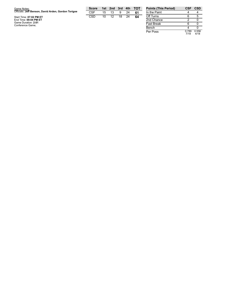| Game Notes:                                         | Score |    | 1st 2nd 3rd 4th |    |    | <b>TOT</b> | <b>Points (This I</b> |
|-----------------------------------------------------|-------|----|-----------------|----|----|------------|-----------------------|
| Officials: Jeff Benson, David Arden, Gordon Torigoe | CSF   | 15 | 13              | 9  | 24 |            | In the Paint          |
| Start Time: 07:02 PM ET                             | CSD   | 10 | 12 <sub>1</sub> | 18 | 24 | 64         | Off Turns             |
| End Time: 09:04 PM ET                               |       |    |                 |    |    |            | 2nd Chance            |
| Game Duration: 2:01<br>Conference Game;             |       |    |                 |    |    |            | <b>Fast Break</b>     |
|                                                     |       |    |                 |    |    |            | $ -$                  |

| <b>Points (This Period)</b> | CSF           | <b>CSD</b>    |
|-----------------------------|---------------|---------------|
| In the Paint                |               |               |
| Off Turns                   | հ             | 5             |
| 2nd Chance                  | 2             |               |
| <b>Fast Break</b>           | հ             |               |
| Bench                       |               |               |
| Per Poss                    | 0.789<br>7/19 | 0.556<br>4/18 |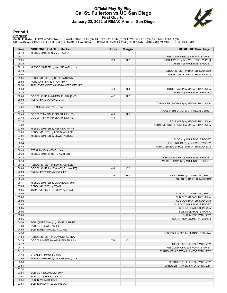### **Official Play-By-Play Cal St. Fullerton vs UC San Diego First Quarter January 22, 2022 at RIMAC Arena - San Diego**



#### **Period 1**

<mark>Starters:</mark><br>Cal St. Fullerton: 1 JOVANOVIC,UNA (G); 3 WAHINEKAPU,LILY (G); 24 NEFF,KATHRYN (F); 32 LEWIS,ASHLEE (C); 55 NIMMO,FUJIKA (G);<br>**UC San Diego**: 4 CANGELOSI,EMILY (G); 10 MACABUHAY,JULIA (G); 12 BAXTER,MADISON (G)

| Time  | <b>VISITORS: Cal St. Fullerton</b>    | <b>Score</b> | <b>Margin</b>  | <b>HOME: UC San Diego</b>                |
|-------|---------------------------------------|--------------|----------------|------------------------------------------|
| 09:42 | MISSED 3PTR by NIMMO, FUJIKA          |              |                |                                          |
| 09:37 |                                       |              |                | REBOUND (DEF) by BROWN, SYDNEY           |
| 09:25 |                                       | $2 - 0$      | H <sub>2</sub> | GOOD! LAYUP by BROWN, SYDNEY [PNT]       |
| 09:25 |                                       |              |                | ASSIST by MULLINGS, BRIDGET              |
| 09:13 | MISSED JUMPER by WAHINEKAPU, LILY     |              |                |                                          |
| 09:10 |                                       |              |                | REBOUND (DEF) by BAXTER, MADISON         |
| 09:04 |                                       |              |                | MISSED 3PTR by BAXTER, MADISON           |
| 09:01 | REBOUND (DEF) by NEFF, KATHRYN        |              |                |                                          |
| 08:50 | FOUL (OFF) by NEFF, KATHRYN           |              |                |                                          |
| 08:50 | TURNOVER (OFFENSIVE) by NEFF, KATHRYN |              |                |                                          |
| 08:33 |                                       | $4 - 0$      | H 4            | GOOD! LAYUP by MACABUHAY, JULIA          |
| 08:33 |                                       |              |                | ASSIST by MULLINGS, BRIDGET              |
| 08:08 | GOOD! LAYUP by NIMMO, FUJIKA [PNT]    | $4 - 2$      | H <sub>2</sub> |                                          |
| 08:08 | ASSIST by JOVANOVIC, UNA              |              |                |                                          |
| 07:51 |                                       |              |                | TURNOVER (BADPASS) by MACABUHAY, JULIA   |
| 07:51 | STEAL by JOVANOVIC, UNA               |              |                |                                          |
| 07:43 |                                       |              |                | FOUL (PERSONAL) by CANGELOSI, EMILY      |
| 07:43 | GOOD! FT by WAHINEKAPU, LILY [FB]     | $4 - 3$      | H <sub>1</sub> |                                          |
| 07:43 | GOOD! FT by WAHINEKAPU, LILY [FB]     | $4 - 4$      | Τ              |                                          |
| 07:24 |                                       |              |                | FOUL (OFF) by MACABUHAY, JULIA           |
| 07:24 |                                       |              |                | TURNOVER (OFFENSIVE) by MACABUHAY, JULIA |
| 07:08 | MISSED JUMPER by NEFF, KATHRYN        |              |                |                                          |
| 07:05 | REBOUND (OFF) by LEWIS, ASHLEE        |              |                |                                          |
| 07:01 | MISSED JUMPER by LEWIS, ASHLEE        |              |                |                                          |
| 07:01 |                                       |              |                | BLOCK by MULLINGS, BRIDGET               |
| 06:54 |                                       |              |                | REBOUND (DEF) by BROWN, SYDNEY           |
| 06:48 |                                       |              |                | TURNOVER (LOSTBALL) by BAXTER, MADISON   |
| 06:48 | STEAL by JOVANOVIC, UNA               |              |                |                                          |
| 06:39 | MISSED 3PTR by NEFF, KATHRYN          |              |                |                                          |
| 06:34 |                                       |              |                | REBOUND (DEF) by MULLINGS, BRIDGET       |
| 06:16 |                                       |              |                | MISSED JUMPER by MULLINGS, BRIDGET       |
| 06:12 | REBOUND (DEF) by LEWIS, ASHLEE        |              |                |                                          |
| 06:08 | GOOD! LAYUP by JOVANOVIC, UNA [FB]    | $4 - 6$      | V <sub>2</sub> |                                          |
| 06:08 | ASSIST by WAHINEKAPU, LILY            |              |                |                                          |
| 05:46 |                                       | $7-6$        | H <sub>1</sub> | GOOD! 3PTR by CANGELOSI, EMILY           |
| 05:46 |                                       |              |                | ASSIST by BAXTER, MADISON                |
| 05:11 | MISSED JUMPER by JOVANOVIC, UNA       |              |                |                                          |
| 05:05 | REBOUND (OFF) by TEAM                 |              |                |                                          |
| 05:05 | TURNOVER (SHOTCLOCK) by TEAM          |              |                |                                          |
| 05:05 |                                       |              |                | SUB OUT: CANGELOSI, EMILY                |
| 05:05 |                                       |              |                | SUB OUT: MACABUHAY, JULIA                |
| 05:05 |                                       |              |                | SUB OUT: BAXTER, MADISON                 |
| 05:05 |                                       |              |                | SUB OUT: MULLINGS, BRIDGET               |
| 05:05 |                                       |              |                | SUB IN: CHAMBERLIN, ULA                  |
| 05:05 |                                       |              |                | SUB IN: CLAROS, BRIANNA                  |
| 05:05 |                                       |              |                | SUB IN: FORSYTH, IZZY                    |
| 05:05 |                                       |              |                | SUB IN: MONTGOMERY, PARKER               |
| 04:59 | FOUL (PERSONAL) by LEWIS, ASHLEE      |              |                |                                          |
| 04:59 | SUB OUT: LEWIS, ASHLEE                |              |                |                                          |
| 04:59 | SUB IN: HERNANDEZ, AIXCHEL            |              |                |                                          |
| 04:58 |                                       |              |                | MISSED JUMPER by CLAROS, BRIANNA         |
| 04:54 | REBOUND (DEF) by JOVANOVIC, UNA       |              |                |                                          |
| 04:39 | GOOD! JUMPER by WAHINEKAPU, LILY      | $7 - 8$      | V <sub>1</sub> |                                          |
| 04:17 |                                       |              |                | MISSED 3PTR by FORSYTH, IZZY             |
| 04:14 |                                       |              |                | REBOUND (OFF) by BROWN, SYDNEY           |
| 04:12 |                                       |              |                | TURNOVER (LOSTBALL) by FORSYTH, IZZY     |
| 04:12 | STEAL by NIMMO, FUJIKA                |              |                |                                          |
| 03:59 | MISSED JUMPER by WAHINEKAPU, LILY     |              |                |                                          |
| 03:56 |                                       |              |                | REBOUND (DEF) by FORSYTH, IZZY           |
| 03:51 |                                       |              |                | TURNOVER (TRAVEL) by FORSYTH, IZZY       |
| 03:51 |                                       |              |                |                                          |
| 03:51 | SUB OUT: JOVANOVIC, UNA               |              |                |                                          |
| 03:51 | SUB OUT: NEFF, KATHRYN                |              |                |                                          |
| 03:51 | SUB IN: VIDMAR, GABI                  |              |                |                                          |
| 03:51 | SUB IN: RODARTE, CLARISSA             |              |                |                                          |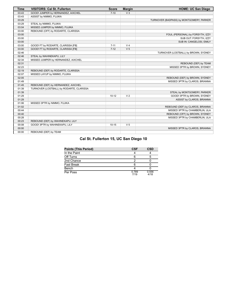| <b>Time</b> | <b>VISITORS: Cal St. Fullerton</b>       | <b>Score</b> | <b>Margin</b>  | <b>HOME: UC San Diego</b>                |
|-------------|------------------------------------------|--------------|----------------|------------------------------------------|
| 03:43       | GOOD! JUMPER by HERNANDEZ, AIXCHEL       | $7 - 10$     | V <sub>3</sub> |                                          |
| 03:43       | ASSIST by NIMMO, FUJIKA                  |              |                |                                          |
| 03:29       |                                          |              |                | TURNOVER (BADPASS) by MONTGOMERY, PARKER |
| 03:29       | STEAL by NIMMO, FUJIKA                   |              |                |                                          |
| 03:04       | MISSED JUMPER by NIMMO, FUJIKA           |              |                |                                          |
| 03:00       | REBOUND (OFF) by RODARTE, CLARISSA       |              |                |                                          |
| 03:00       |                                          |              |                | FOUL (PERSONAL) by FORSYTH, IZZY         |
| 03:00       |                                          |              |                | SUB OUT: FORSYTH, IZZY                   |
| 03:00       |                                          |              |                | SUB IN: CANGELOSI, EMILY                 |
| 03:00       | GOOD! FT by RODARTE, CLARISSA [FB]       | $7 - 11$     | V <sub>4</sub> |                                          |
| 03:00       | GOOD! FT by RODARTE, CLARISSA [FB]       | $7 - 12$     | V <sub>5</sub> |                                          |
| 02:46       |                                          |              |                | TURNOVER (LOSTBALL) by BROWN, SYDNEY     |
| 02:46       | STEAL by WAHINEKAPU, LILY                |              |                |                                          |
| 02:34       | MISSED JUMPER by HERNANDEZ, AIXCHEL      |              |                |                                          |
| 02:31       |                                          |              |                | REBOUND (DEF) by TEAM                    |
| 02:23       |                                          |              |                | MISSED 3PTR by BROWN, SYDNEY             |
| 02:19       | REBOUND (DEF) by RODARTE, CLARISSA       |              |                |                                          |
| 02:07       | MISSED LAYUP by NIMMO, FUJIKA            |              |                |                                          |
| 02:05       |                                          |              |                | REBOUND (DEF) by BROWN, SYDNEY           |
| 01:49       |                                          |              |                | MISSED 3PTR by CLAROS, BRIANNA           |
| 01:45       | REBOUND (DEF) by HERNANDEZ, AIXCHEL      |              |                |                                          |
| 01:39       | TURNOVER (LOSTBALL) by RODARTE, CLARISSA |              |                |                                          |
| 01:39       |                                          |              |                | STEAL by MONTGOMERY, PARKER              |
| 01:29       |                                          | $10-12$      | V <sub>2</sub> | GOOD! 3PTR by BROWN, SYDNEY              |
| 01:29       |                                          |              |                | ASSIST by CLAROS, BRIANNA                |
| 01:06       | MISSED 3PTR by NIMMO, FUJIKA             |              |                |                                          |
| 01:02       |                                          |              |                | REBOUND (DEF) by CLAROS, BRIANNA         |
| 00:44       |                                          |              |                | MISSED 3PTR by CHAMBERLIN, ULA           |
| 00:40       |                                          |              |                | REBOUND (OFF) by BROWN, SYDNEY           |
| 00:28       |                                          |              |                | MISSED 3PTR by CHAMBERLIN, ULA           |
| 00:23       | REBOUND (DEF) by WAHINEKAPU, LILY        |              |                |                                          |
| 00:08       | GOOD! 3PTR by WAHINEKAPU, LILY           | $10 - 15$    | V <sub>5</sub> |                                          |
| 00:00       |                                          |              |                | MISSED 3PTR by CLAROS, BRIANNA           |
| 00:00       | REBOUND (DEF) by TEAM                    |              |                |                                          |

# **Cal St. Fullerton 15, UC San Diego 10**

| <b>Points (This Period)</b> | <b>CSF</b>    | <b>CSD</b>    |
|-----------------------------|---------------|---------------|
| In the Paint                |               |               |
| Off Turns                   |               |               |
| 2nd Chance                  |               |               |
| <b>Fast Break</b>           |               |               |
| Bench                       |               |               |
| Per Poss                    | 0.789<br>7/19 | 0.556<br>4/18 |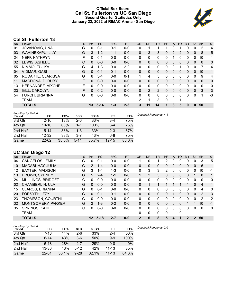# **Official Box Score Cal St. Fullerton vs UC San Diego Second Quarter Statistics Only January 22, 2022 at RIMAC Arena - San Diego**



# **Cal St. Fullerton 13**

| No. | Plaver                  | S | <b>Pts</b>   | FG       | 3FG     | <b>FT</b> | <b>OR</b> | D <sub>R</sub> | TR             | PF       | A            | TO | <b>Blk</b> | <b>Stl</b>   | Min          | $+/-$        |
|-----|-------------------------|---|--------------|----------|---------|-----------|-----------|----------------|----------------|----------|--------------|----|------------|--------------|--------------|--------------|
| 01  | JOVANOVIC, UNA          | G | 0            | $0 - 1$  | $0 - 1$ | $0 - 0$   | 0         |                |                |          | $\Omega$     |    | 0          | 0            | 2            | 4            |
| 03  | <b>WAHINEKAPU, LILY</b> | G | 3            | $1 - 2$  | $1 - 1$ | $0 - 0$   | 0         | 3              | 3              | 0        | 2            | 2  | 0          | $\mathbf{0}$ | 8            | 5            |
| 24  | NEFF, KATHRYN           | F | 0            | $0 - 1$  | $0 - 0$ | $0 - 0$   | 0         | $\mathbf{0}$   | 0              | 0        |              | 0  | 0          | $\mathbf{0}$ | 10           | 1            |
| 32  | LEWIS, ASHLEE           | С | 0            | $0 - 0$  | $0 - 0$ | $0 - 0$   | $\Omega$  | $\mathbf{0}$   | 0              | 0        | $\Omega$     | 0  | 0          | $\Omega$     | $\mathbf{0}$ | 0            |
| 55  | NIMMO, FUJIKA           | G | 4            | $1 - 3$  | $0 - 0$ | $2 - 2$   | 0         | 0              | 0              | 0        | $\Omega$     |    | 0          | $\Omega$     | 7            | $-4$         |
| 04  | <b>VIDMAR, GABI</b>     | G | $\mathbf{0}$ | $0 - 1$  | $0 - 1$ | $0 - 0$   | 0         | $\mathbf{0}$   | 0              | 0        | $\mathbf{0}$ | 0  | 0          | $\mathbf{0}$ | 10           | 1            |
| 05  | RODARTE, CLARISSA       | G | 6            | $3 - 4$  | $0 - 0$ | $0 - 1$   | 1         | 4              | 5              | 0        | $\Omega$     | 0  | 0          | 0            | 9            | 4            |
| 11  | <b>MACDONALD, RUBY</b>  | F | 0            | $0 - 0$  | $0 - 0$ | $0 - 0$   | $\Omega$  | $\Omega$       | $\Omega$       | $\Omega$ | $\Omega$     | 0  | $\Omega$   | $\Omega$     | $\Omega$     | 0            |
| 13  | HERNANDEZ, AIXCHEL      | F | 0            | $0 - 0$  | $0 - 0$ | $0 - 0$   | $\Omega$  | $\mathbf{0}$   | 0              | 0        | $\Omega$     | 0  | 0          | $\Omega$     | $\mathbf{0}$ | $\mathbf{0}$ |
| 23  | GILL, CAROLYN           | F | 0            | $0 - 2$  | $0 - 0$ | $0 - 0$   | $\Omega$  | 2              | $\overline{2}$ | $\Omega$ | $\Omega$     | 0  | 0          | $\Omega$     | 3            | $-3$         |
| 54  | FURCH, BRIANNA          | G | 0            | $0 - 0$  | $0 - 0$ | $0 - 0$   | 0         | 0              | 0              | 0        | $\Omega$     | 0  | 0          | 0            | 1            | -3           |
|     | <b>TEAM</b>             |   |              |          |         |           | 2         | 1              | 3              | 0        |              |    |            |              |              |              |
|     | <b>TOTALS</b>           |   | 13           | $5 - 14$ | $1 - 3$ | $2 - 3$   | 3         | 11             | 14             |          | 3            | 5  | 0          | 0            | 50           |              |

| <b>Shooting By Period</b><br>Period | FG        | FG%   | 3FG      | 3FG%  | FT        | FT%   | Deadball Rebounds: 4,1 |
|-------------------------------------|-----------|-------|----------|-------|-----------|-------|------------------------|
| 3rd Qtr                             | $2 - 16$  | 13%   | $2-6$    | 33%   | $3 - 4$   | 75%   |                        |
| 4th Qtr                             | $10 - 16$ | 63%   | $1 - 1$  | 100%  | $3 - 4$   | 75%   |                        |
| 2nd Half                            | $5 - 14$  | 36%   | $1 - 3$  | 33%   | $2 - 3$   | 67%   |                        |
| 2nd Half                            | $12 - 32$ | 38%   | 3-7      | 43%   | 6-8       | 75%   |                        |
| Game                                | $22 - 62$ | 35.5% | $5 - 14$ | 35.7% | $12 - 15$ | 80.0% |                        |

# **UC San Diego 12**

| No. | Plaver                    | S | Pts            | FG.      | 3FG     | <b>FT</b> | <b>OR</b>      | <b>DR</b>      | <b>TR</b>    | PF | A            | TO       | <b>Blk</b>     | <b>Stl</b>   | Min            | $+/-$        |
|-----|---------------------------|---|----------------|----------|---------|-----------|----------------|----------------|--------------|----|--------------|----------|----------------|--------------|----------------|--------------|
| 04  | CANGELOSI, EMILY          | G | 0              | $0 - 1$  | $0 - 0$ | $0-0$     |                | 0              |              | 2  | 0            | 0        | 0              | 0            | 3              | $-5$         |
| 10  | MACABUHAY, JULIA          | G | 2              | $1 - 4$  | $0 - 0$ | $0 - 0$   | 0              | 0              | 0            | 0  | 2            | $\Omega$ | 0              | $\mathbf{0}$ | 6              | $-1$         |
| 12  | <b>BAXTER, MADISON</b>    | G | 3              | 1-4      | 1-3     | $0 - 0$   | 0              | 3              | 3            | 2  | 0            | 0        | 0              | 0            | 10             | $-1$         |
| 13  | <b>BROWN, SYDNEY</b>      | G | 5              | $2 - 4$  | $1 - 1$ | $0 - 0$   |                | $\overline{2}$ | 3            | 0  | $\Omega$     | $\Omega$ | $\Omega$       |              | 8              | 1            |
| 24  | <b>MULLINGS, BRIDGET</b>  | C | 0              | $0 - 0$  | $0 - 0$ | $0 - 0$   | $\Omega$       | 0              | $\mathbf{0}$ | 0  | 0            | $\Omega$ | 0              | $\Omega$     | $\Omega$       | $\mathbf{0}$ |
| 02  | <b>CHAMBERLIN, ULA</b>    | G | $\Omega$       | $0 - 0$  | $0 - 0$ | $0 - 0$   | 0              |                | 1            |    |              |          |                | $\mathbf{0}$ | $\overline{4}$ | 1            |
| 15  | <b>CLAROS, BRIANNA</b>    | G | 0              | $0 - 1$  | $0 - 0$ | $0-0$     | 0              | 0              | 0            | 0  | 0            | 0        | 0              | $\Omega$     | 4              | 0            |
| 20  | FORSYTH, IZZY             | G | 0              | $0 - 1$  | $0 - 1$ | $0 - 0$   | $\Omega$       | 0              | 0            | 0  |              | $\Omega$ | 0              | $\Omega$     | 2              | 3            |
| 23  | THOMPSON, COURTNI         | G | 0              | $0 - 0$  | $0 - 0$ | $0 - 0$   | 0              | 0              | 0            | 0  | 0            | $\Omega$ | 0              | $\Omega$     | $\overline{2}$ | $-2$         |
| 32  | <b>MONTGOMERY, PARKER</b> | G | $\overline{2}$ | $1 - 3$  | $0 - 2$ | $0 - 0$   | $\Omega$       | 0              | 0            | 0  | $\mathbf{0}$ | $\Omega$ |                |              | 10             | $-1$         |
| 35  | SPRINGS, KATIE            | C | 0              | $0 - 0$  | $0 - 0$ | $0 - 0$   | $\Omega$       | 0              | $\Omega$     | 0  | 0            | 0        | 0              | $\Omega$     | $\Omega$       | $\mathbf 0$  |
|     | <b>TEAM</b>               |   |                |          |         |           | 0              | 0              | 0            | 0  |              | 0        |                |              |                |              |
|     | <b>TOTALS</b>             |   | 12             | $5 - 18$ | $2 - 7$ | $0 - 0$   | $\overline{2}$ | 6              | 8            | 5  | 4            |          | $\overline{2}$ | 2            | 50             |              |

| <b>Shooting By Period</b><br>Period | FG        | FG%   | 3FG      | 3FG%  | FT        | FT%   | De |
|-------------------------------------|-----------|-------|----------|-------|-----------|-------|----|
| 3rd Qtr                             | 7-16      | 44%   | $2-6$    | 33%   | $2 - 4$   | 50%   |    |
| 4th Qtr                             | $6 - 14$  | 43%   | $3-6$    | 50%   | $9 - 9$   | 100%  |    |
| 2nd Half                            | $5 - 18$  | 28%   | $2 - 7$  | 29%   | $0 - 0$   | $0\%$ |    |
| 2nd Half                            | 13-30     | 43%   | $5 - 12$ | 42%   | $11 - 13$ | 85%   |    |
| Game                                | $22 - 61$ | 36.1% | $9 - 28$ | 32.1% | $11 - 13$ | 84.6% |    |

*Deadball Rebounds:* 2,0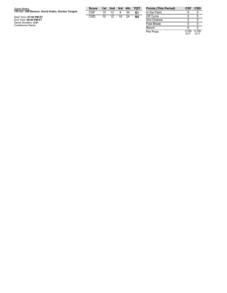| Game Notes:                                         | <b>Score</b> |    | 1st 2nd 3rd |    | 4th | тот | <b>Points (This P</b> |
|-----------------------------------------------------|--------------|----|-------------|----|-----|-----|-----------------------|
| Officials: Jeff Benson, David Arden, Gordon Torigoe | CSF          | 15 | 13          | 9  | 24  | -61 | In the Paint          |
| Start Time: 07:02 PM ET                             | CSD          | 10 | 12          | 18 | 24  | 64  | Off Turns             |
| End Time: 09:04 PM ET                               |              |    |             |    |     |     | 2nd Chance            |
| Game Duration: 2:01                                 |              |    |             |    |     |     | <b>Fast Break</b>     |
| Conference Game;                                    |              |    |             |    |     |     |                       |

| <b>Points (This Period)</b> | <b>CSF</b>    | CSD           |
|-----------------------------|---------------|---------------|
| In the Paint                | հ             |               |
| Off Turns                   | O             | 5             |
| 2nd Chance                  | 2             |               |
| <b>Fast Break</b>           | ი             |               |
| Bench                       | հ             | 2             |
| Per Poss                    | 0.765<br>6/17 | 0.706<br>5/17 |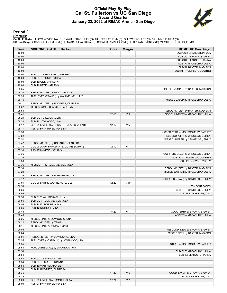### **Official Play-By-Play Cal St. Fullerton vs UC San Diego Second Quarter January 22, 2022 at RIMAC Arena - San Diego**



#### **Period 2**

#### **Starters:**

Cal St. Fullerton: 1 JOVANOVIC,UNA (G); 3 WAHINEKAPU,LILY (G); 24 NEFF,KATHRYN (F); 32 LEWIS,ASHLEE (C); 55 NIMMO,FUJIKA (G);<br>UC San Diego: 4 CANGELOSI,EMILY (G); 10 MACABUHAY,JULIA (G); 12 BAXTER,MADISON (G); 13 BROWN,SYD

| Time  | <b>VISITORS: Cal St. Fullerton</b>      | <b>Score</b> | <b>Margin</b>  | <b>HOME: UC San Diego</b>           |
|-------|-----------------------------------------|--------------|----------------|-------------------------------------|
| 10:00 |                                         |              |                | SUB OUT: CHAMBERLIN, ULA            |
| 10:00 |                                         |              |                | SUB OUT: BROWN, SYDNEY              |
| 10:00 |                                         |              |                | SUB OUT: CLAROS, BRIANNA            |
| 10:00 |                                         |              |                | SUB IN: MACABUHAY, JULIA            |
| 10:00 |                                         |              |                | SUB IN: BAXTER, MADISON             |
| 10:00 |                                         |              |                | SUB IN: THOMPSON, COURTNI           |
| 10:00 | SUB OUT: HERNANDEZ, AIXCHEL             |              |                |                                     |
| 10:00 | SUB OUT: NIMMO, FUJIKA                  |              |                |                                     |
| 10:00 | SUB IN: GILL, CAROLYN                   |              |                |                                     |
| 10:00 | SUB IN: NEFF, KATHRYN                   |              |                |                                     |
| 09:35 |                                         |              |                | MISSED JUMPER by BAXTER, MADISON    |
| 09:30 | REBOUND (DEF) by GILL, CAROLYN          |              |                |                                     |
| 09:26 | TURNOVER (TRAVEL) by WAHINEKAPU, LILY   |              |                |                                     |
| 09:15 |                                         |              |                | MISSED LAYUP by MACABUHAY, JULIA    |
| 09:11 | REBOUND (DEF) by RODARTE, CLARISSA      |              |                |                                     |
| 08:57 | MISSED JUMPER by GILL, CAROLYN          |              |                |                                     |
| 08:54 |                                         |              |                | REBOUND (DEF) by BAXTER, MADISON    |
| 08:41 |                                         | $12 - 15$    | V <sub>3</sub> | GOOD! JUMPER by MACABUHAY, JULIA    |
| 08:20 | SUB OUT: GILL, CAROLYN                  |              |                |                                     |
| 08:20 | SUB IN: JOVANOVIC, UNA                  |              |                |                                     |
| 08:17 | GOOD! JUMPER by RODARTE, CLARISSA [PNT] | $12 - 17$    | V <sub>5</sub> |                                     |
| 08:17 | ASSIST by WAHINEKAPU, LILY              |              |                |                                     |
| 07:56 |                                         |              |                | MISSED 3PTR by MONTGOMERY, PARKER   |
| 07:52 |                                         |              |                | REBOUND (OFF) by CANGELOSI, EMILY   |
| 07:51 |                                         |              |                | MISSED JUMPER by CANGELOSI, EMILY   |
| 07:47 | REBOUND (DEF) by RODARTE, CLARISSA      |              |                |                                     |
| 07:36 | GOOD! LAYUP by RODARTE, CLARISSA [PNT]  | 12-19        | V <sub>7</sub> |                                     |
| 07:36 | ASSIST by NEFF, KATHRYN                 |              |                |                                     |
| 07:36 |                                         |              |                | FOUL (PERSONAL) by CANGELOSI, EMILY |
| 07:36 |                                         |              |                | SUB OUT: THOMPSON, COURTNI          |
| 07:36 |                                         |              |                | SUB IN: BROWN, SYDNEY               |
| 07:36 | MISSED FT by RODARTE, CLARISSA          |              |                |                                     |
| 07:34 |                                         |              |                | REBOUND (DEF) by BAXTER, MADISON    |
| 07:29 |                                         |              |                | MISSED JUMPER by MACABUHAY, JULIA   |
| 07:26 | REBOUND (DEF) by WAHINEKAPU, LILY       |              |                |                                     |
| 07:17 |                                         |              |                | FOUL (PERSONAL) by CANGELOSI, EMILY |
| 07:01 | GOOD! 3PTR by WAHINEKAPU, LILY          | 12-22        | $V$ 10         |                                     |
| 06:56 |                                         |              |                | TIMEOUT 30SEC                       |
| 06:56 |                                         |              |                | SUB OUT: CANGELOSI, EMILY           |
| 06:56 |                                         |              |                | SUB IN: FORSYTH, IZZY               |
| 06:56 | SUB OUT: WAHINEKAPU, LILY               |              |                |                                     |
| 06:56 | SUB OUT: RODARTE, CLARISSA              |              |                |                                     |
| 06:56 | SUB IN: FURCH, BRIANNA                  |              |                |                                     |
| 06:56 | SUB IN: NIMMO, FUJIKA                   |              |                |                                     |
| 06:43 |                                         | $15 - 22$    | V <sub>7</sub> | GOOD! 3PTR by BROWN, SYDNEY         |
| 06:43 |                                         |              |                | ASSIST by MACABUHAY, JULIA          |
| 06:25 | MISSED 3PTR by JOVANOVIC, UNA           |              |                |                                     |
| 06:22 | REBOUND (OFF) by TEAM                   |              |                |                                     |
| 06:11 | MISSED 3PTR by VIDMAR, GABI             |              |                |                                     |
| 06:08 |                                         |              |                | REBOUND (DEF) by BROWN, SYDNEY      |
| 06:04 |                                         |              |                | MISSED 3PTR by BAXTER, MADISON      |
| 06:01 | REBOUND (DEF) by JOVANOVIC, UNA         |              |                |                                     |
| 05:55 | TURNOVER (LOSTBALL) by JOVANOVIC, UNA   |              |                |                                     |
| 05:55 |                                         |              |                | STEAL by MONTGOMERY, PARKER         |
| 05:54 | FOUL (PERSONAL) by JOVANOVIC, UNA       |              |                |                                     |
| 05:54 |                                         |              |                | SUB OUT: MACABUHAY, JULIA           |
| 05:54 |                                         |              |                | SUB IN: CLAROS, BRIANNA             |
| 05:54 | SUB OUT: JOVANOVIC, UNA                 |              |                |                                     |
| 05:54 | SUB OUT: FURCH, BRIANNA                 |              |                |                                     |
| 05:54 | SUB IN: WAHINEKAPU, LILY                |              |                |                                     |
| 05:54 | SUB IN: RODARTE, CLARISSA               |              |                |                                     |
| 05:35 |                                         | $17 - 22$    | V <sub>5</sub> | GOOD! LAYUP by BROWN, SYDNEY        |
| 05:35 |                                         |              |                | ASSIST by FORSYTH, IZZY             |
| 05:09 | GOOD! JUMPER by NIMMO, FUJIKA           | $17 - 24$    | V <sub>7</sub> |                                     |
| 05:09 | ASSIST by WAHINEKAPU, LILY              |              |                |                                     |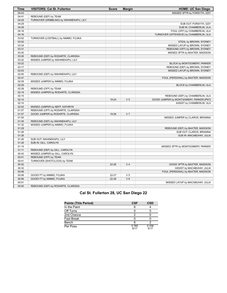| Time  | <b>VISITORS: Cal St. Fullerton</b>       | <b>Score</b> | <b>Margin</b>  | <b>HOME: UC San Diego</b>                |
|-------|------------------------------------------|--------------|----------------|------------------------------------------|
| 04:43 |                                          |              |                | MISSED 3PTR by FORSYTH, IZZY             |
| 04:41 | REBOUND (DEF) by TEAM                    |              |                |                                          |
| 04:29 | TURNOVER (DRIBBLING) by WAHINEKAPU, LILY |              |                |                                          |
| 04:29 |                                          |              |                | SUB OUT: FORSYTH, IZZY                   |
| 04:29 |                                          |              |                | SUB IN: CHAMBERLIN, ULA                  |
| 04:16 |                                          |              |                | FOUL (OFF) by CHAMBERLIN, ULA            |
| 04:16 |                                          |              |                | TURNOVER (OFFENSIVE) by CHAMBERLIN, ULA  |
| 03:52 | TURNOVER (LOSTBALL) by NIMMO, FUJIKA     |              |                |                                          |
| 03:52 |                                          |              |                | STEAL by BROWN, SYDNEY                   |
| 03:34 |                                          |              |                | MISSED LAYUP by BROWN, SYDNEY            |
| 03:31 |                                          |              |                | REBOUND (OFF) by BROWN, SYDNEY           |
| 03:30 |                                          |              |                | MISSED 3PTR by BAXTER, MADISON           |
| 03:26 | REBOUND (DEF) by RODARTE, CLARISSA       |              |                |                                          |
| 03:22 | MISSED JUMPER by WAHINEKAPU, LILY        |              |                |                                          |
| 03:22 |                                          |              |                | BLOCK by MONTGOMERY, PARKER              |
| 03:17 |                                          |              |                | REBOUND (DEF) by BROWN, SYDNEY           |
| 02:53 |                                          |              |                | MISSED LAYUP by BROWN, SYDNEY            |
| 02:50 | REBOUND (DEF) by WAHINEKAPU, LILY        |              |                |                                          |
| 02:41 |                                          |              |                | FOUL (PERSONAL) by BAXTER, MADISON       |
| 02:29 | MISSED JUMPER by NIMMO, FUJIKA           |              |                |                                          |
| 02:29 |                                          |              |                | BLOCK by CHAMBERLIN, ULA                 |
| 02:28 | REBOUND (OFF) by TEAM                    |              |                |                                          |
| 02:19 | MISSED JUMPER by RODARTE, CLARISSA       |              |                |                                          |
| 02:15 |                                          |              |                | REBOUND (DEF) by CHAMBERLIN, ULA         |
| 02:10 |                                          | 19-24        | V <sub>5</sub> | GOOD! JUMPER by MONTGOMERY, PARKER [PNT] |
| 02:10 |                                          |              |                | ASSIST by CHAMBERLIN, ULA                |
| 02:02 | MISSED JUMPER by NEFF, KATHRYN           |              |                |                                          |
| 01:57 | REBOUND (OFF) by RODARTE, CLARISSA       |              |                |                                          |
| 01:57 | GOOD! JUMPER by RODARTE, CLARISSA        | 19-26        | V <sub>7</sub> |                                          |
| 01:50 |                                          |              |                | MISSED JUMPER by CLAROS, BRIANNA         |
| 01:45 | REBOUND (DEF) by WAHINEKAPU, LILY        |              |                |                                          |
| 01:32 | MISSED JUMPER by NIMMO, FUJIKA           |              |                |                                          |
| 01:29 |                                          |              |                | REBOUND (DEF) by BAXTER, MADISON         |
| 01:26 |                                          |              |                | SUB OUT: CLAROS, BRIANNA                 |
| 01:26 |                                          |              |                | SUB IN: MACABUHAY, JULIA                 |
| 01:26 | SUB OUT: WAHINEKAPU, LILY                |              |                |                                          |
| 01:26 | SUB IN: GILL, CAROLYN                    |              |                |                                          |
| 01:15 |                                          |              |                | MISSED 3PTR by MONTGOMERY, PARKER        |
| 01:11 | REBOUND (DEF) by GILL, CAROLYN           |              |                |                                          |
| 00:43 | MISSED JUMPER by GILL, CAROLYN           |              |                |                                          |
| 00:41 | REBOUND (OFF) by TEAM                    |              |                |                                          |
| 00:41 | TURNOVER (SHOTCLOCK) by TEAM             |              |                |                                          |
| 00:32 |                                          | $22 - 26$    | V <sub>4</sub> | GOOD! 3PTR by BAXTER, MADISON            |
| 00:32 |                                          |              |                | ASSIST by MACABUHAY, JULIA               |
| 00:06 |                                          |              |                | FOUL (PERSONAL) by BAXTER, MADISON       |
| 00:06 | GOOD! FT by NIMMO, FUJIKA                | 22-27        | V <sub>5</sub> |                                          |
| 00:06 | GOOD! FT by NIMMO, FUJIKA                | $22 - 28$    | $V_6$          |                                          |
| 00:01 |                                          |              |                | MISSED LAYUP by MACABUHAY, JULIA         |
| 00:00 | REBOUND (DEF) by RODARTE, CLARISSA       |              |                |                                          |

# **Cal St. Fullerton 28, UC San Diego 22**

| <b>Points (This Period)</b> | <b>CSF</b>    | <b>CSD</b>    |
|-----------------------------|---------------|---------------|
| In the Paint                |               |               |
| Off Turns                   |               |               |
| 2nd Chance                  |               |               |
| <b>Fast Break</b>           |               |               |
| Bench                       |               |               |
| Per Poss                    | 0.765<br>6/17 | 0.706<br>5/17 |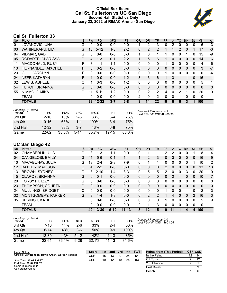# **Official Box Score Cal St. Fullerton vs UC San Diego Second Half Statistics Only January 22, 2022 at RIMAC Arena - San Diego**



# **Cal St. Fullerton 33**

| No. | Plaver                | S | <b>Pts</b> | <b>FG</b> | 3FG     | <b>FT</b> | <b>OR</b> | <b>DR</b> | TR           | <b>PF</b> | A        | TO       | <b>BIK</b> | Stl         | <b>Min</b> | $+/-$ |
|-----|-----------------------|---|------------|-----------|---------|-----------|-----------|-----------|--------------|-----------|----------|----------|------------|-------------|------------|-------|
| 01  | JOVANOVIC, UNA        | G | 0          | $0 - 0$   | $0 - 0$ | $0 - 0$   |           | 2         | 3            | 0         | 2        | 0        | 0          | 0           | 6          | $-3$  |
| 03  | WAHINEKAPU, LILY      | G | 13         | $5 - 12$  | $1 - 3$ | $2 - 2$   | 0         | 2         | 2            |           |          | 2        | $\Omega$   | 1           | 17         | $-3$  |
| 04  | VIDMAR, GABI          | G | 0          | $0-0$     | $0 - 0$ | $0-0$     |           | 0         |              |           | 0        | 0        |            | 0           | 15         | -9    |
| 05  | RODARTE, CLARISSA     | G | 4          | $1 - 3$   | $0 - 1$ | $2 - 2$   |           | 5         | 6            |           | 0        | $\Omega$ | 0          | 0           | 14         | -6    |
| 11  | MACDONALD, RUBY       | F | 3          | $1 - 1$   | $1 - 1$ | $0 - 0$   | 0         | 0         | $\mathbf{0}$ | 1         | 0        | $\Omega$ | 0          | $\mathbf 0$ | 4          | -6    |
| 13  | HERNANDEZ, AIXCHEL    | F | 0          | $0 - 2$   | $0 - 0$ | $0 - 0$   | 0         | 0         | 0            | $\Omega$  | 0        | 0        | $\Omega$   | 0           | 3          | $-7$  |
| 23  | GILL, CAROLYN         | F | $\Omega$   | $0 - 0$   | $0 - 0$ | $0 - 0$   | 0         | 0         | 0            | 1         | 0        | $\Omega$ | 0          | $\Omega$    | $\Omega$   | $-4$  |
| 24  | <b>NEFF, KATHRYN</b>  | F |            | $0 - 0$   | $0 - 0$ | $1 - 2$   | 3         | 3         | 6            | 1         | 3        | 1        |            | $\Omega$    | 16         | 1     |
| 32  | LEWIS, ASHLEE         |   |            | $0 - 3$   | $0 - 0$ | $1 - 2$   | 0         | $\Omega$  | 0            | 0         | 0        | 0        | $\Omega$   | 0           | 5          | 1     |
| 54  | <b>FURCH, BRIANNA</b> | G | $\Omega$   | $0 - 0$   | $0 - 0$ | $0 - 0$   | 0         | $\Omega$  | $\mathbf{0}$ | $\Omega$  | $\Omega$ | $\Omega$ | 0          | $\Omega$    | $\Omega$   | 0     |
| 55  | NIMMO, FUJIKA         | G | 11         | $5 - 11$  | $1 - 2$ | $0 - 0$   | 0         | 2         | 2            | 4         | 0        | 2        |            | $\Omega$    | 20         | $-9$  |
|     | <b>TEAM</b>           |   | 0          | $0 - 0$   | $0 - 0$ | $0 - 0$   | 2         | 0         | 2            | $\Omega$  | 0        | 1        | 0          | 0           | 0          |       |
|     | <b>TOTALS</b>         |   | 33         | $12 - 32$ | $3 - 7$ | $6 - 8$   | 8         | 14        | 22           | 10        | 6        | 6        | 3          | 1           | 100        |       |

| <b>Shooting By Period</b><br>Period | FG        | FG%   | 3FG     | 3FG%  | FT.       | FT%   |
|-------------------------------------|-----------|-------|---------|-------|-----------|-------|
| 3rd Otr                             | $2 - 16$  | 13%   | 2-6     | 33%   | $3 - 4$   | 75%   |
| 4th Qtr                             | $10 - 16$ | 63%   | $1 - 1$ | 100%  | $3 - 4$   | 75%   |
| 2nd Half                            | $12 - 32$ | 38%   | $3 - 7$ | 43%   | 6-8       | 75%   |
| Game                                | $22 - 62$ | 35.5% | $5-14$  | 35.7% | $12 - 15$ | 80.0% |

#### *Deadball Rebounds:* 4,1 *Last FG Half:* CSF 4th-00:38

# **UC San Diego 42**

| No.               | -<br>Plaver               | S | Pts      | <b>FG</b> | 3FG      | <b>FT</b> | <b>OR</b> | <b>DR</b> | TR           | PF       | A  | TO       | <b>Blk</b> | Stl           | Min          | $+/-$          |
|-------------------|---------------------------|---|----------|-----------|----------|-----------|-----------|-----------|--------------|----------|----|----------|------------|---------------|--------------|----------------|
| 02                | CHAMBERLIN, ULA           | G | 3        | $1 - 3$   | 1-1      | $0-0$     | 0         |           |              | 2        | 2  | 0        | 0          |               | 8            | $-4$           |
| 04                | CANGELOSI, EMILY          | G | 11       | $5-6$     | $0 - 1$  | $1 - 1$   |           | 2         | 3            | 0        | 3  | 0        | 0          | $\Omega$      | 16           | 9              |
| 10                | MACABUHAY, JULIA          | G | 13       | $2 - 4$   | $2 - 3$  | 7-9       | $\Omega$  |           | 1            | $\Omega$ | 0  | 0        | 0          |               | 10           | 2              |
| $12 \overline{ }$ | <b>BAXTER, MADISON</b>    | G | 4        | $2 - 2$   | $0 - 0$  | $0 - 0$   | 0         | 0         | 0            | 2        | 0  | 0        | 0          | $\Omega$      | 13           | 13             |
| 13                | <b>BROWN, SYDNEY</b>      | G | 8        | $2 - 10$  | $1 - 4$  | $3-3$     | 0         | 5         | 5            | 2        | 0  | 0        | 3          | 0             | 20           | 9              |
| 15                | <b>CLAROS, BRIANNA</b>    | G | 0        | $0 - 1$   | $0 - 0$  | $0 - 0$   | $\Omega$  | 0         | $\mathbf{0}$ | 0        | 2  | 1        | 0          | 0             | 10           | $\overline{7}$ |
| 20                | FORSYTH, IZZY             | G | 0        | $0 - 0$   | $0 - 0$  | $0 - 0$   | 0         | 0         | 0            | 0        | 0  | 0        | 0          | 0             | $\mathbf{0}$ | 0              |
| 23                | <b>THOMPSON, COURTNI</b>  | G | $\Omega$ | $0 - 0$   | $0 - 0$  | $0 - 0$   | $\Omega$  | 0         | $\mathbf{0}$ | 0        | 0  | 0        | $\Omega$   | $\Omega$      | $\mathbf{0}$ | $\Omega$       |
| 24                | <b>MULLINGS, BRIDGET</b>  | C | 0        | $0 - 0$   | $0 - 0$  | $0 - 0$   | $\Omega$  | 0         | $\Omega$     |          | 0  | 0        | 1          | 0             | 2            | -3             |
| 32                | <b>MONTGOMERY, PARKER</b> | G | 3.       | $1 - 4$   | $1 - 3$  | $0 - 0$   | $\Omega$  | 2         | 2            |          | 4  | $\Omega$ | 0          | $\mathcal{P}$ | 16           | 3              |
| 35                | <b>SPRINGS, KATIE</b>     | C | $\Omega$ | $0 - 0$   | $0 - 0$  | $0 - 0$   | $\Omega$  | $\Omega$  | $\Omega$     |          | 0  | 0        | 0          | $\Omega$      | 5            | 9              |
|                   | <b>TEAM</b>               |   | 0        | $0 - 0$   | $0 - 0$  | $0 - 0$   | 2         | 1         | 3            | 0        | 0  | $\Omega$ | 0          | $\Omega$      | 0            |                |
|                   | <b>TOTALS</b>             |   |          | 42 13-30  | $5 - 12$ | $11 - 13$ | 3         | 12        | 15           | 9        | 11 | 1        | 4          | 4             | 100          |                |

| <b>Shooting By Period</b><br>Period | FG        | FG%   | 3FG    | 3FG%  | FТ        | FT%   |
|-------------------------------------|-----------|-------|--------|-------|-----------|-------|
| 3rd Otr                             | 7-16      | 44%   | 2-6.   | 33%   | $2 - 4$   | 50%   |
| 4th Otr                             | $6-14$    | 43%   | 3-6    | 50%   | $9-9$     | 100%  |
| 2nd Half                            | $13 - 30$ | 43%   | $5-12$ | 42%   | $11 - 13$ | 85%   |
| Game                                | 22-61     | 36.1% | $9-28$ | 32.1% | $11 - 13$ | 84.6% |

*Deadball Rebounds:* 2,0 *Last FG Half:* CSD 4th-01:05

| Game Notes:                                         | <b>Score</b> | 1st. | 2nd | 3rd | 4th | <b>TOT</b> | <b>Points from (This Period)</b> |    | <b>CSF CSD</b> |
|-----------------------------------------------------|--------------|------|-----|-----|-----|------------|----------------------------------|----|----------------|
| Officials: Jeff Benson, David Arden, Gordon Torigoe | CSF          | 15   |     |     | 24  | 61         | In the Paint                     | 19 |                |
| Start Time: 07:02 PM ET                             | CSD          | 10   | 12  | 18  | 24  | 64         | Off Turns                        |    |                |
| End Time: 09:04 PM ET                               |              |      |     |     |     |            | 2nd Chance                       |    |                |
| Game Duration: 2:01<br>Conference Game:             |              |      |     |     |     |            | <b>Fast Break</b>                |    |                |
|                                                     |              |      |     |     |     |            | Bench                            |    |                |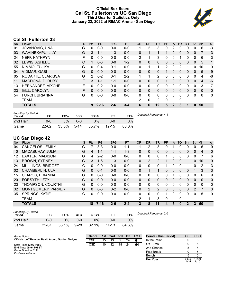# **Official Box Score Cal St. Fullerton vs UC San Diego Third Quarter Statistics Only January 22, 2022 at RIMAC Arena - San Diego**



# **Cal St. Fullerton 33**

| No. | Plaver                  | S | <b>Pts</b>    | <b>FG</b> | 3FG     | <b>FT</b> | <b>OR</b> | <b>DR</b>    | TR       | PF       | A              | TO | <b>BIK</b> | Stl          | Min            | $+/-$ |
|-----|-------------------------|---|---------------|-----------|---------|-----------|-----------|--------------|----------|----------|----------------|----|------------|--------------|----------------|-------|
| 01  | JOVANOVIC, UNA          | G | 0             | $0 - 0$   | $0 - 0$ | $0 - 0$   |           | 2            | 3        | 0        | 2              | 0  | 0          | 0            | 6              | $-3$  |
| 03  | <b>WAHINEKAPU, LILY</b> | G | 3             | $1 - 4$   | $1 - 3$ | $0 - 0$   | 0         |              | 1        |          | $\Omega$       | 0  | 0          | $\mathbf{0}$ | 7              | $-3$  |
| 24  | NEFF, KATHRYN           | F | 0             | $0 - 0$   | $0 - 0$ | $0 - 0$   | 2         |              | 3        | 0        | $\mathbf{0}$   |    | 0          | 0            | 6              | $-3$  |
| 32  | LEWIS, ASHLEE           | С |               | $0 - 3$   | $0 - 0$ | $1 - 2$   | 0         | $\mathbf{0}$ | 0        | 0        | $\mathbf{0}$   | 0  | 0          | $\mathbf{0}$ | 5              | 1     |
| 55  | NIMMO, FUJIKA           | G | 0             | $0 - 4$   | $0 - 1$ | $0 - 0$   | $\Omega$  |              | 1        | 2        | $\Omega$       | 2  |            | 0            | 10             | -9    |
| 04  | <b>VIDMAR, GABI</b>     | G | 0             | $0 - 0$   | $0 - 0$ | $0 - 0$   | $\Omega$  | $\Omega$     | 0        |          | $\Omega$       | 0  | 0          | $\Omega$     | 5              | $-9$  |
| 05  | RODARTE, CLARISSA       | G | $\mathcal{P}$ | $0 - 2$   | $0 - 1$ | $2 - 2$   | 1         | 1            | 2        | 0        | $\Omega$       | 0  | 0          | $\Omega$     | 4              | -6    |
| 11  | MACDONALD, RUBY         | F | 3             | $1 - 1$   | $1 - 1$ | $0 - 0$   | 0         | $\mathbf{0}$ | 0        |          | $\Omega$       | 0  | 0          | $\Omega$     | $\overline{4}$ | -6    |
| 13  | HERNANDEZ, AIXCHEL      | F | 0             | $0 - 2$   | $0 - 0$ | $0 - 0$   | $\Omega$  | 0            | 0        | 0        | $\Omega$       | 0  | 0          | $\Omega$     | 3              | $-7$  |
| 23  | GILL, CAROLYN           | F | 0             | $0 - 0$   | $0 - 0$ | $0 - 0$   | $\Omega$  | $\Omega$     | $\Omega$ | $\Omega$ | $\Omega$       | 0  | 0          | $\Omega$     | $\Omega$       | 0     |
| 54  | <b>FURCH, BRIANNA</b>   | G | 0             | $0 - 0$   | $0 - 0$ | $0 - 0$   | 0         | $\mathbf{0}$ | 0        | 0        | $\Omega$       | 0  | 0          | $\mathbf 0$  | $\mathbf 0$    | 0     |
|     | TEAM                    |   |               |           |         |           | 2         | 0            | 2        | 0        |                | 0  |            |              |                |       |
|     | <b>TOTALS</b>           |   | 9             | $2 - 16$  | $2 - 6$ | $3 - 4$   | 6         | 6            | $12 \,$  | 5        | $\overline{2}$ | 3  | и          | $\Omega$     | 50             |       |

| <b>Shooting By Period</b><br>Period | FG        | FG%   | 3FG    | 3FG%  |           | FT%   | Deadball Rebounds: 4,1 |
|-------------------------------------|-----------|-------|--------|-------|-----------|-------|------------------------|
| 2nd Half                            | 0-0       | $0\%$ | 0-0    | $0\%$ | ი-ი       | 0%    |                        |
| Game                                | $22 - 62$ | 35.5% | $5-14$ | 35.7% | $12 - 15$ | 80.0% |                        |

# **UC San Diego 42**

| No. | Plaver                    | S | Pts          | <b>FG</b> | 3FG     | <b>FT</b> | 0R       | <b>DR</b>      | <b>TR</b>      | PF | A            | TO       | <b>Blk</b>   | Stl           | Min            | $+/-$        |
|-----|---------------------------|---|--------------|-----------|---------|-----------|----------|----------------|----------------|----|--------------|----------|--------------|---------------|----------------|--------------|
| 04  | CANGELOSI, EMILY          | G |              | $3 - 3$   | $0-0$   | 1-1       |          | 2              | 3              | 0  |              |          | 0            | 0             | 6              | 9            |
| 10  | MACABUHAY, JULIA          | G | 4            | $1 - 1$   | $1 - 1$ | $1 - 3$   | 0        | 0              | $\Omega$       | 0  | 0            | $\Omega$ | $\mathbf{0}$ | $\mathbf{0}$  | $\overline{4}$ | $\Omega$     |
| 12  | <b>BAXTER, MADISON</b>    | G | 4            | $2 - 2$   | $0 - 0$ | $0 - 0$   | 0        | 0              | $\Omega$       |    | 0            | 0        | 0            | 0             |                | 6            |
| 13  | <b>BROWN, SYDNEY</b>      | G | 3            | $1 - 6$   | $1 - 3$ | $0-0$     | 0        | $\overline{2}$ | $\overline{2}$ |    | 0            | $\Omega$ |              | 0             | 10             | 9            |
| 24  | <b>MULLINGS, BRIDGET</b>  | С | $\Omega$     | $0 - 0$   | $0 - 0$ | $0 - 0$   | 0        | 0              | $\mathbf{0}$   | 1  | 0            | $\Omega$ | 1            | $\Omega$      | 2              | -3           |
| 02  | CHAMBERLIN, ULA           | G | $\mathbf{0}$ | $0 - 1$   | $0 - 0$ | $0 - 0$   | 0        |                | $\mathbf 1$    | 0  | $\mathbf{0}$ | 0        | 0            |               | 3              | 3            |
| 15  | <b>CLAROS, BRIANNA</b>    | G | 0            | $0 - 0$   | $0 - 0$ | $0 - 0$   | 0        | 0              | 0              | 0  |              | ∩        | 0            | $\Omega$      | 6              | 9            |
| 20  | FORSYTH, IZZY             | G | $\Omega$     | $0 - 0$   | $0 - 0$ | $0 - 0$   | $\Omega$ | 0              | $\Omega$       | 0  | $\Omega$     | $\Omega$ | $\Omega$     | $\Omega$      | $\Omega$       | $\mathbf{0}$ |
| 23  | THOMPSON, COURTNI         | G | $\Omega$     | $0 - 0$   | $0 - 0$ | $0 - 0$   | 0        | 0              | $\mathbf{0}$   | 0  | 0            | 0        | 0            | 0             | $\Omega$       | 0            |
| 32  | <b>MONTGOMERY, PARKER</b> | G | 0            | $0 - 3$   | $0 - 2$ | $0 - 0$   | 0        | 2              | $\overline{2}$ | 0  | 3            | $\Omega$ | $\Omega$     | $\mathcal{P}$ | 7              | 3            |
| 35  | <b>SPRINGS, KATIE</b>     | С | 0            | $0-0$     | $0 - 0$ | $0 - 0$   | 0        | 0              | 0              |    | 0            | 0        | $\Omega$     | 0             | 5              | 9            |
|     | TEAM                      |   |              |           |         |           | 2        | 1              | 3              | 0  |              | 0        |              |               |                |              |
|     | <b>TOTALS</b>             |   | 18           | $7 - 16$  | $2 - 6$ | $2 - 4$   | 3        | 8              | 11             | 4  | 5            | $\bf{0}$ | $\mathbf 2$  | 3             | 50             |              |

| <b>Shooting By Period</b><br>Period | FG        | FG%   | 3FG      | 3FG%  |           | FT%   | Deadball Rebounds: 2,0 |
|-------------------------------------|-----------|-------|----------|-------|-----------|-------|------------------------|
| 2nd Half                            | 0-0       | 0%    | $0 - 0$  | $0\%$ | 0-0       | 0%    |                        |
| Game                                | $22 - 61$ | 36.1% | $9 - 28$ | 32.1% | $11 - 13$ | 84.6% |                        |

| Game Notes:                                         | <b>Score</b> | 1st l | 2nd 3rd |    | 4th | тот | <b>Points (This Period)</b> | CSF           | <b>CSD</b>   |
|-----------------------------------------------------|--------------|-------|---------|----|-----|-----|-----------------------------|---------------|--------------|
| Officials: Jeff Benson, David Arden, Gordon Torigoe | <b>CSF</b>   | 15    |         |    | 24  | -61 | In the Paint                |               |              |
| Start Time: 07:02 PM ET                             | <b>CSD</b>   | 10    | 12      | 18 | 24  | 64  | Off Turns                   |               |              |
| End Time: 09:04 PM ET                               |              |       |         |    |     |     | 2nd Chance                  |               |              |
| Game Duration: 2:01<br>Conference Game:             |              |       |         |    |     |     | <b>Fast Break</b>           |               |              |
|                                                     |              |       |         |    |     |     | Bench                       |               |              |
|                                                     |              |       |         |    |     |     | Per Poss                    | 0.600<br>4/15 | .200<br>8/15 |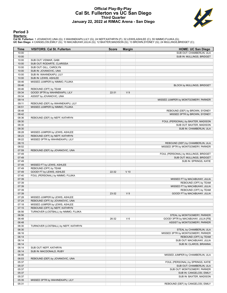### **Official Play-By-Play Cal St. Fullerton vs UC San Diego Third Quarter January 22, 2022 at RIMAC Arena - San Diego**



#### **Period 3**

<mark>Starters:</mark><br>Cal St. Fullerton: 1 JOVANOVIC,UNA (G); 3 WAHINEKAPU,LILY (G); 24 NEFF,KATHRYN (F); 32 LEWIS,ASHLEE (C); 55 NIMMO,FUJIKA (G);<br>**UC San Diego**: 4 CANGELOSI,EMILY (G); 10 MACABUHAY,JULIA (G); 12 BAXTER,MADISON (G)

| Time  | <b>VISITORS: Cal St. Fullerton</b>   | <b>Score</b> | <b>Margin</b>  | <b>HOME: UC San Diego</b>            |
|-------|--------------------------------------|--------------|----------------|--------------------------------------|
| 10:00 |                                      |              |                | SUB OUT: CHAMBERLIN, ULA             |
| 10:00 |                                      |              |                | SUB IN: MULLINGS, BRIDGET            |
| 10:00 | SUB OUT: VIDMAR, GABI                |              |                |                                      |
| 10:00 | SUB OUT: RODARTE, CLARISSA           |              |                |                                      |
| 10:00 | SUB OUT: GILL, CAROLYN               |              |                |                                      |
| 10:00 | SUB IN: JOVANOVIC, UNA               |              |                |                                      |
| 10:00 | SUB IN: WAHINEKAPU, LILY             |              |                |                                      |
| 10:00 | SUB IN: LEWIS, ASHLEE                |              |                |                                      |
| 09:46 | MISSED JUMPER by NIMMO, FUJIKA       |              |                |                                      |
| 09:46 |                                      |              |                | BLOCK by MULLINGS, BRIDGET           |
| 09:46 | REBOUND (OFF) by TEAM                |              |                |                                      |
| 09:34 | GOOD! 3PTR by WAHINEKAPU, LILY       | $22 - 31$    | V <sub>9</sub> |                                      |
| 09:34 | ASSIST by JOVANOVIC, UNA             |              |                |                                      |
| 09:14 |                                      |              |                | MISSED JUMPER by MONTGOMERY, PARKER  |
| 09:11 | REBOUND (DEF) by WAHINEKAPU, LILY    |              |                |                                      |
| 08:51 | MISSED JUMPER by NIMMO, FUJIKA       |              |                |                                      |
| 08:48 |                                      |              |                | REBOUND (DEF) by BROWN, SYDNEY       |
| 08:42 |                                      |              |                | MISSED 3PTR by BROWN, SYDNEY         |
| 08:36 | REBOUND (DEF) by NEFF, KATHRYN       |              |                |                                      |
| 08:30 |                                      |              |                | FOUL (PERSONAL) by BAXTER, MADISON   |
| 08:30 |                                      |              |                | SUB OUT: BAXTER, MADISON             |
| 08:30 |                                      |              |                | SUB IN: CHAMBERLIN, ULA              |
| 08:28 | MISSED JUMPER by LEWIS, ASHLEE       |              |                |                                      |
| 08:23 | REBOUND (OFF) by NEFF, KATHRYN       |              |                |                                      |
| 08:22 | MISSED 3PTR by WAHINEKAPU, LILY      |              |                |                                      |
| 08:15 |                                      |              |                | REBOUND (DEF) by CHAMBERLIN, ULA     |
| 08:02 |                                      |              |                | MISSED 3PTR by MONTGOMERY, PARKER    |
| 07:59 | REBOUND (DEF) by JOVANOVIC, UNA      |              |                |                                      |
| 07:49 |                                      |              |                | FOUL (PERSONAL) by MULLINGS, BRIDGET |
| 07:49 |                                      |              |                | SUB OUT: MULLINGS, BRIDGET           |
| 07:49 |                                      |              |                | SUB IN: SPRINGS, KATIE               |
| 07:49 | MISSED FT by LEWIS, ASHLEE           |              |                |                                      |
| 07:49 | REBOUND (OFF) by TEAM                |              |                |                                      |
| 07:49 | GOOD! FT by LEWIS, ASHLEE            | 22-32        | $V$ 10         |                                      |
| 07:40 | FOUL (PERSONAL) by NIMMO, FUJIKA     |              |                |                                      |
| 07:39 |                                      |              |                | MISSED FT by MACABUHAY, JULIA        |
| 07:39 |                                      |              |                | REBOUND (OFF) by TEAM                |
| 07:39 |                                      |              |                | MISSED FT by MACABUHAY, JULIA        |
| 07:39 |                                      |              |                | REBOUND (OFF) by TEAM                |
| 07:39 |                                      | 23-32        | V <sub>9</sub> | GOOD! FT by MACABUHAY, JULIA         |
| 07:28 | MISSED JUMPER by LEWIS, ASHLEE       |              |                |                                      |
| 07:24 | REBOUND (OFF) by JOVANOVIC, UNA      |              |                |                                      |
| 07:18 | MISSED JUMPER by LEWIS, ASHLEE       |              |                |                                      |
| 07:15 | REBOUND (OFF) by NEFF, KATHRYN       |              |                |                                      |
| 06:56 | TURNOVER (LOSTBALL) by NIMMO, FUJIKA |              |                |                                      |
| 06:56 |                                      |              |                | STEAL by MONTGOMERY, PARKER          |
| 06:48 |                                      | 26-32        | $V_6$          | GOOD! 3PTR by MACABUHAY, JULIA [FB]  |
| 06:48 |                                      |              |                | ASSIST by MONTGOMERY, PARKER         |
| 06:30 | TURNOVER (LOSTBALL) by NEFF, KATHRYN |              |                |                                      |
| 06:30 |                                      |              |                | STEAL by CHAMBERLIN, ULA             |
| 06:16 |                                      |              |                | MISSED 3PTR by MONTGOMERY, PARKER    |
| 06:14 |                                      |              |                | REBOUND (OFF) by TEAM                |
| 06:14 |                                      |              |                | SUB OUT: MACABUHAY, JULIA            |
| 06:14 |                                      |              |                | SUB IN: CLAROS, BRIANNA              |
| 06:14 | SUB OUT: NEFF, KATHRYN               |              |                |                                      |
| 06:14 | SUB IN: MACDONALD, RUBY              |              |                |                                      |
| 06:06 |                                      |              |                | MISSED JUMPER by CHAMBERLIN, ULA     |
| 06:03 | REBOUND (DEF) by JOVANOVIC, UNA      |              |                |                                      |
| 05:37 |                                      |              |                | FOUL (PERSONAL) by SPRINGS, KATIE    |
| 05:37 |                                      |              |                | SUB OUT: CHAMBERLIN, ULA             |
| 05:37 |                                      |              |                | SUB OUT: MONTGOMERY, PARKER          |
| 05:37 |                                      |              |                | SUB IN: CANGELOSI, EMILY             |
| 05:37 |                                      |              |                | SUB IN: BAXTER, MADISON              |
| 05:35 | MISSED 3PTR by WAHINEKAPU, LILY      |              |                |                                      |
| 05:31 |                                      |              |                | REBOUND (DEF) by CANGELOSI, EMILY    |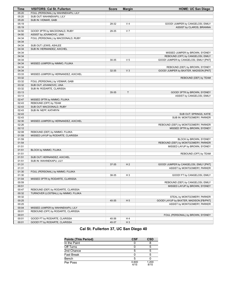| Time  | <b>VISITORS: Cal St. Fullerton</b>   | <b>Score</b> | <b>Margin</b>  | <b>HOME: UC San Diego</b>               |
|-------|--------------------------------------|--------------|----------------|-----------------------------------------|
| 05:20 | FOUL (PERSONAL) by WAHINEKAPU, LILY  |              |                |                                         |
| 05:20 | SUB OUT: WAHINEKAPU, LILY            |              |                |                                         |
| 05:20 | SUB IN: VIDMAR, GABI                 |              |                |                                         |
| 05:19 |                                      | 28-32        | V <sub>4</sub> | GOOD! JUMPER by CANGELOSI, EMILY        |
| 05:19 |                                      |              |                | ASSIST by CLAROS, BRIANNA               |
| 04:50 | GOOD! 3PTR by MACDONALD, RUBY        | 28-35        | V <sub>7</sub> |                                         |
| 04:50 | ASSIST by JOVANOVIC, UNA             |              |                |                                         |
| 04:34 | FOUL (PERSONAL) by MACDONALD, RUBY   |              |                |                                         |
| 04:34 |                                      |              |                |                                         |
| 04:34 | SUB OUT: LEWIS, ASHLEE               |              |                |                                         |
| 04:34 | SUB IN: HERNANDEZ, AIXCHEL           |              |                |                                         |
| 04:34 |                                      |              |                | MISSED JUMPER by BROWN, SYDNEY          |
| 04:34 |                                      |              |                | REBOUND (OFF) by CANGELOSI, EMILY       |
| 04:34 |                                      | 30-35        | V <sub>5</sub> | GOOD! JUMPER by CANGELOSI, EMILY [PNT]  |
| 04:34 | MISSED JUMPER by NIMMO, FUJIKA       |              |                |                                         |
| 04:34 |                                      |              |                | REBOUND (DEF) by BROWN, SYDNEY          |
| 04:34 |                                      | 32-35        | V <sub>3</sub> | GOOD! JUMPER by BAXTER, MADISON [PNT]   |
| 03:33 | MISSED JUMPER by HERNANDEZ, AIXCHEL  |              |                |                                         |
| 03:32 |                                      |              |                | REBOUND (DEF) by TEAM                   |
| 03:32 | FOUL (PERSONAL) by VIDMAR, GABI      |              |                |                                         |
| 03:32 | SUB OUT: JOVANOVIC, UNA              |              |                |                                         |
| 03:32 | SUB IN: RODARTE, CLARISSA            |              |                |                                         |
| 03:13 |                                      | 35-35        | $\mathsf T$    | GOOD! 3PTR by BROWN, SYDNEY             |
| 03:13 |                                      |              |                | ASSIST by CANGELOSI, EMILY              |
| 02:47 | MISSED 3PTR by NIMMO, FUJIKA         |              |                |                                         |
| 02:43 | REBOUND (OFF) by TEAM                |              |                |                                         |
| 02:43 | SUB OUT: MACDONALD, RUBY             |              |                |                                         |
| 02:43 | SUB IN: NEFF, KATHRYN                |              |                |                                         |
| 02:43 |                                      |              |                | SUB OUT: SPRINGS, KATIE                 |
| 02:43 |                                      |              |                | SUB IN: MONTGOMERY, PARKER              |
| 02:30 | MISSED JUMPER by HERNANDEZ, AIXCHEL  |              |                |                                         |
| 02:26 |                                      |              |                | REBOUND (DEF) by MONTGOMERY, PARKER     |
| 02:12 |                                      |              |                | MISSED 3PTR by BROWN, SYDNEY            |
| 02:08 | REBOUND (DEF) by NIMMO, FUJIKA       |              |                |                                         |
| 01:59 | MISSED LAYUP by RODARTE, CLARISSA    |              |                |                                         |
| 01:59 |                                      |              |                | BLOCK by BROWN, SYDNEY                  |
| 01:54 |                                      |              |                | REBOUND (DEF) by MONTGOMERY, PARKER     |
| 01:51 |                                      |              |                | MISSED LAYUP by BROWN, SYDNEY           |
| 01:51 | BLOCK by NIMMO, FUJIKA               |              |                |                                         |
| 01:51 |                                      |              |                | REBOUND (OFF) by TEAM                   |
| 01:51 | SUB OUT: HERNANDEZ, AIXCHEL          |              |                |                                         |
| 01:51 | SUB IN: WAHINEKAPU, LILY             |              |                |                                         |
| 01:31 |                                      | 37-35        | H <sub>2</sub> | GOOD! JUMPER by CANGELOSI, EMILY [PNT]  |
| 01:31 |                                      |              |                | ASSIST by MONTGOMERY, PARKER            |
| 01:30 | FOUL (PERSONAL) by NIMMO, FUJIKA     |              |                |                                         |
| 01:30 |                                      | 38-35        | H <sub>3</sub> | GOOD! FT by CANGELOSI, EMILY            |
| 01:04 | MISSED 3PTR by RODARTE, CLARISSA     |              |                |                                         |
| 00:59 |                                      |              |                | REBOUND (DEF) by CANGELOSI, EMILY       |
| 00:51 |                                      |              |                | MISSED LAYUP by BROWN, SYDNEY           |
| 00:47 | REBOUND (DEF) by RODARTE, CLARISSA   |              |                |                                         |
| 00:32 | TURNOVER (LOSTBALL) by NIMMO, FUJIKA |              |                |                                         |
| 00:32 |                                      |              |                | STEAL by MONTGOMERY, PARKER             |
| 00:25 |                                      | 40-35        | H <sub>5</sub> | GOOD! LAYUP by BAXTER, MADISON [FB/PNT] |
| 00:25 |                                      |              |                | ASSIST by MONTGOMERY, PARKER            |
| 00:04 | MISSED JUMPER by WAHINEKAPU, LILY    |              |                |                                         |
| 00:01 | REBOUND (OFF) by RODARTE, CLARISSA   |              |                |                                         |
| 00:01 |                                      |              |                | FOUL (PERSONAL) by BROWN, SYDNEY        |
| 00:01 | GOOD! FT by RODARTE, CLARISSA        | 40-36        | H 4            |                                         |
| 00:01 | GOOD! FT by RODARTE, CLARISSA        | 40-37        | $H_3$          |                                         |

# **Cal St. Fullerton 37, UC San Diego 40**

| <b>Points (This Period)</b> | <b>CSF</b>    | <b>CSD</b>    |
|-----------------------------|---------------|---------------|
| In the Paint                |               |               |
| Off Turns                   |               |               |
| 2nd Chance                  |               |               |
| <b>Fast Break</b>           |               |               |
| Bench                       |               |               |
| Per Poss                    | 0.600<br>4/15 | 1.200<br>8/15 |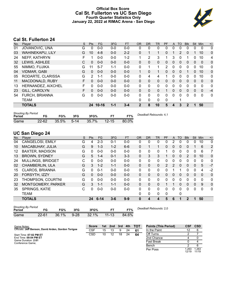# **Official Box Score Cal St. Fullerton vs UC San Diego Fourth Quarter Statistics Only January 22, 2022 at RIMAC Arena - San Diego**



# **Cal St. Fullerton 24**

| No. | Plaver                  | S  | <b>Pts</b>     | <b>FG</b> | 3FG     | <b>FT</b> | <b>OR</b>   | <b>DR</b>    | TR       | PF       | A            | TO | <b>Blk</b> | <b>Stl</b>   | Min          | $+/-$ |
|-----|-------------------------|----|----------------|-----------|---------|-----------|-------------|--------------|----------|----------|--------------|----|------------|--------------|--------------|-------|
| 01  | JOVANOVIC, UNA          | G  | 0              | $0 - 0$   | $0 - 0$ | $0 - 0$   | 0           | 0            | 0        | 0        | $\Omega$     | 0  | 0          | 0            | 0            | 0     |
| 03  | <b>WAHINEKAPU, LILY</b> | G  | 10             | $4 - 8$   | $0 - 0$ | $2 - 2$   | 0           |              | 1        | 0        |              | 2  | 0          | 1            | 10           | 0     |
| 24  | NEFF, KATHRYN           | F  |                | $0 - 0$   | $0 - 0$ | $1 - 2$   | 1           | 2            | 3        |          | 3            | 0  |            | $\mathbf{0}$ | 10           | 4     |
| 32  | LEWIS, ASHLEE           | С  | $\mathbf{0}$   | $0 - 0$   | $0 - 0$ | $0 - 0$   | 0           | $\mathbf{0}$ | 0        | 0        | $\Omega$     | 0  | 0          | $\mathbf{0}$ | $\mathbf{0}$ | 0     |
| 55  | NIMMO, FUJIKA           | G  | 11             | $5 - 7$   | 1-1     | $0 - 0$   | 0           |              | 1        | 2        | $\mathbf{0}$ | 0  | 0          | $\Omega$     | 10           | 0     |
| 04  | <b>VIDMAR, GABI</b>     | G  | $\Omega$       | $0 - 0$   | $0 - 0$ | $0 - 0$   | 1           | 0            | 1        | $\Omega$ | $\Omega$     | 0  |            | $\Omega$     | 10           | 0     |
| 05  | RODARTE, CLARISSA       | G  | $\overline{2}$ | $1 - 1$   | $0 - 0$ | $0 - 0$   | $\Omega$    | 4            | 4        | 1        | $\Omega$     | 0  | 0          | $\Omega$     | 10           | 0     |
| 11  | MACDONALD, RUBY         | F. | $\Omega$       | $0 - 0$   | $0 - 0$ | $0 - 0$   | $\Omega$    | $\mathbf{0}$ | 0        | 0        | $\Omega$     | 0  | 0          | $\Omega$     | $\mathbf{0}$ | 0     |
| 13  | HERNANDEZ, AIXCHEL      | F  | 0              | $0 - 0$   | $0 - 0$ | $0 - 0$   | 0           | 0            | 0        | 0        | 0            | 0  | 0          | 0            | 0            | 0     |
| 23  | GILL, CAROLYN           | F  | 0              | $0 - 0$   | $0 - 0$ | $0 - 0$   | $\Omega$    | $\Omega$     | $\Omega$ |          | $\Omega$     | 0  | 0          | $\Omega$     | $\mathbf{0}$ | $-4$  |
| 54  | FURCH, BRIANNA          | G  | 0              | $0 - 0$   | $0-0$   | $0 - 0$   | 0           | 0            | 0        | 0        | $\Omega$     | 0  | 0          | $\Omega$     | 0            | 0     |
|     | <b>TEAM</b>             |    |                |           |         |           | 0           | 0            | 0        | 0        |              |    |            |              |              |       |
|     | <b>TOTALS</b>           |    |                | 24 10-16  | $1 - 1$ | $3 - 4$   | $\mathbf 2$ | 8            | 10       | 5        | 4            | 3  | 2          | 1            | 50           |       |
|     |                         |    |                |           |         |           |             |              |          |          |              |    |            |              |              |       |

| <b>Shooting By Period</b><br>Period | FG.       | FG%      | 3FG    | 3FG%     | ET        | FT%   | Deadball Rebounds: 4,1 |
|-------------------------------------|-----------|----------|--------|----------|-----------|-------|------------------------|
| Game                                | $22 - 62$ | $35.5\%$ | $5-14$ | $35.7\%$ | $12 - 15$ | 80.0% |                        |

# **UC San Diego 24**

| No. | Plaver                   | S | <b>Pts</b> | <b>FG</b> | 3FG     | <b>FT</b> | <b>OR</b>    | <b>DR</b> | <b>TR</b>    | PF | A            | TO       | <b>Blk</b>     | Stl      | Min         | $+/-$        |
|-----|--------------------------|---|------------|-----------|---------|-----------|--------------|-----------|--------------|----|--------------|----------|----------------|----------|-------------|--------------|
| 04  | CANGELOSI, EMILY         | G | 4          | $2 - 3$   | $0 - 1$ | $0 - 0$   | 0            | 0         | 0            | 0  | 2            | 0        | 0              | 0        | 10          | 0            |
| 10  | MACABUHAY, JULIA         | G | 9          | $1 - 3$   | $1 - 2$ | $6 - 6$   | $\Omega$     |           | 1            | 0  | $\mathbf{0}$ | $\Omega$ | 0              |          | 6           | 2            |
| 12  | <b>BAXTER, MADISON</b>   | G | 0          | $0-0$     | $0 - 0$ | $0 - 0$   | $\mathbf{0}$ | 0         | 0            |    | 0            | 0        | 0              | 0        | 6           | 7            |
| 13  | <b>BROWN, SYDNEY</b>     | G | 5          | $1 - 4$   | $0 - 1$ | $3 - 3$   | $\Omega$     | 3         | 3            |    | 0            | $\Omega$ | $\overline{2}$ | $\Omega$ | 10          | 0            |
| 24  | <b>MULLINGS, BRIDGET</b> | С | 0          | $0 - 0$   | $0 - 0$ | $0 - 0$   | 0            | 0         | 0            | 0  | 0            | 0        | 0              | 0        | $\mathbf 0$ | 0            |
| 02  | <b>CHAMBERLIN, ULA</b>   | G | 3          | $1 - 2$   | $1 - 1$ | $0 - 0$   | $\Omega$     | $\Omega$  | 0            | 2  | 2            | $\Omega$ | $\Omega$       | $\Omega$ | 5           | $-7$         |
| 15  | <b>CLAROS, BRIANNA</b>   | G | 0          | $0 - 1$   | $0 - 0$ | $0 - 0$   | $\Omega$     | 0         | $\Omega$     | 0  |              |          | 0              | $\Omega$ | 4           | $-2$         |
| 20  | FORSYTH, IZZY            | G | $\Omega$   | $0 - 0$   | $0 - 0$ | $0 - 0$   | $\Omega$     | 0         | 0            | 0  | $\mathbf{0}$ | $\Omega$ | 0              | $\Omega$ | 0           | $\mathbf 0$  |
| 23  | THOMPSON, COURTNI        | G | 0          | $0 - 0$   | $0 - 0$ | $0 - 0$   | 0            | 0         | 0            | 0  | $\Omega$     | $\Omega$ | 0              | $\Omega$ | $\Omega$    | 0            |
| 32  | MONTGOMERY, PARKER       | G | 3          | $1 - 1$   | $1 - 1$ | $0 - 0$   | $\Omega$     | $\Omega$  | $\Omega$     |    |              | $\Omega$ | $\Omega$       | $\Omega$ | 9           | $\Omega$     |
| 35  | <b>SPRINGS, KATIE</b>    | С | O          | $0-0$     | $0-0$   | $0 - 0$   | 0            | 0         | $\mathbf{0}$ | 0  | 0            | $\Omega$ | 0              | 0        | $\Omega$    | $\mathbf{0}$ |
|     | <b>TEAM</b>              |   |            |           |         |           | 0            | 0         | 0            | 0  |              | 0        |                |          |             |              |
|     | <b>TOTALS</b>            |   |            | 24 6-14   | $3 - 6$ | $9 - 9$   | 0            | 4         | 4            | 5  | 6            |          | 2              | 1        | 50          |              |
|     |                          |   |            |           |         |           |              |           |              |    |              |          |                |          |             |              |

| <b>Shooting By Period</b><br>Period | FG        | FG%   | 3FG      | 3FG%     | ET        | FT%   | Deadball Rebounds: 2,0 |
|-------------------------------------|-----------|-------|----------|----------|-----------|-------|------------------------|
| Game                                | $22 - 61$ | 36.1% | $9 - 28$ | $32.1\%$ | $11 - 13$ | 84.6% |                        |

| Game Notes:                                         | <b>Score</b> |    | 1st 2nd | 3rd | 4th | тот | <b>Points (This Period)</b> | <b>CSF</b>    | <b>CSD</b>    |
|-----------------------------------------------------|--------------|----|---------|-----|-----|-----|-----------------------------|---------------|---------------|
| Officials: Jeff Benson, David Arden, Gordon Torigoe | <b>CSF</b>   | 15 | 13      | 9   | 24  | -61 | In the Paint                |               |               |
| Start Time: 07:02 PM ET                             | CSD          | 10 | 12      | 18  | 24  | 64  | Off Turns                   |               |               |
| End Time: 09:04 PM ET                               |              |    |         |     |     |     | 2nd Chance                  |               |               |
| Game Duration: 2:01<br>Conference Game:             |              |    |         |     |     |     | <b>Fast Break</b>           |               |               |
|                                                     |              |    |         |     |     |     | Bench                       |               |               |
|                                                     |              |    |         |     |     |     | Per Poss                    | .263<br>12/19 | .263<br>11/19 |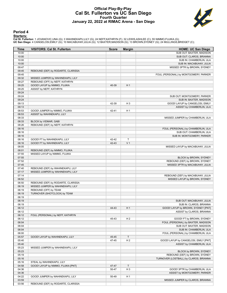### **Official Play-By-Play Cal St. Fullerton vs UC San Diego Fourth Quarter January 22, 2022 at RIMAC Arena - San Diego**



#### **Period 4**

<mark>Starters:</mark><br>Cal St. Fullerton: 1 JOVANOVIC,UNA (G); 3 WAHINEKAPU,LILY (G); 24 NEFF,KATHRYN (F); 32 LEWIS,ASHLEE (C); 55 NIMMO,FUJIKA (G);<br>**UC San Diego**: 4 CANGELOSI,EMILY (G); 10 MACABUHAY,JULIA (G); 12 BAXTER,MADISON (G)

| Time           | <b>VISITORS: Cal St. Fullerton</b>                             | <b>Score</b> | <b>Margin</b>  | <b>HOME: UC San Diego</b>              |
|----------------|----------------------------------------------------------------|--------------|----------------|----------------------------------------|
| 10:00          |                                                                |              |                | SUB OUT: BAXTER, MADISON               |
| 10:00          |                                                                |              |                | SUB OUT: CLAROS, BRIANNA               |
| 10:00          |                                                                |              |                | SUB IN: CHAMBERLIN, ULA                |
| 10:00          |                                                                |              |                | SUB IN: MACABUHAY, JULIA               |
| 09:47          |                                                                |              |                | MISSED 3PTR by BROWN, SYDNEY           |
| 09:45          | REBOUND (DEF) by RODARTE, CLARISSA                             |              |                |                                        |
| 09:45          |                                                                |              |                | FOUL (PERSONAL) by MONTGOMERY, PARKER  |
| 09:32<br>09:27 | MISSED JUMPER by WAHINEKAPU, LILY                              |              |                |                                        |
| 09:25          | REBOUND (OFF) by NEFF, KATHRYN<br>GOOD! LAYUP by NIMMO, FUJIKA | 40-39        | H 1            |                                        |
| 09:25          | ASSIST by NEFF, KATHRYN                                        |              |                |                                        |
| 09:24          |                                                                |              |                |                                        |
| 09:24          |                                                                |              |                | SUB OUT: MONTGOMERY, PARKER            |
| 09:24          |                                                                |              |                | SUB IN: BAXTER, MADISON                |
| 09:13          |                                                                | 42-39        | H <sub>3</sub> | GOOD! LAYUP by CANGELOSI, EMILY        |
| 09:13          |                                                                |              |                | ASSIST by CHAMBERLIN, ULA              |
| 08:53          | GOOD! JUMPER by NIMMO, FUJIKA                                  | 42-41        | H <sub>1</sub> |                                        |
| 08:53          | ASSIST by WAHINEKAPU, LILY                                     |              |                |                                        |
| 08:33          |                                                                |              |                | MISSED JUMPER by CHAMBERLIN, ULA       |
| 08:33          | BLOCK by VIDMAR, GABI                                          |              |                |                                        |
| 08:26          | REBOUND (DEF) by NEFF, KATHRYN                                 |              |                |                                        |
| 08:16          |                                                                |              |                | FOUL (PERSONAL) by CHAMBERLIN, ULA     |
| 08:16          |                                                                |              |                | SUB OUT: CHAMBERLIN, ULA               |
| 08:16          |                                                                |              |                | SUB IN: MONTGOMERY, PARKER             |
| 08:16          | GOOD! FT by WAHINEKAPU, LILY                                   | 42-42        | $\mathsf T$    |                                        |
| 08:16          | GOOD! FT by WAHINEKAPU, LILY                                   | 42-43        | V <sub>1</sub> |                                        |
| 08:05          |                                                                |              |                | MISSED LAYUP by MACABUHAY, JULIA       |
| 08:01          | REBOUND (DEF) by NIMMO, FUJIKA                                 |              |                |                                        |
| 07:55          | MISSED LAYUP by NIMMO, FUJIKA                                  |              |                |                                        |
| 07:55          |                                                                |              |                | BLOCK by BROWN, SYDNEY                 |
| 07:52          |                                                                |              |                | REBOUND (DEF) by BROWN, SYDNEY         |
| 07:45          |                                                                |              |                | MISSED 3PTR by MACABUHAY, JULIA        |
| 07:40          | REBOUND (DEF) by WAHINEKAPU, LILY                              |              |                |                                        |
| 07:17          | MISSED JUMPER by WAHINEKAPU, LILY                              |              |                |                                        |
| 07:14<br>06:52 |                                                                |              |                | REBOUND (DEF) by MACABUHAY, JULIA      |
| 06:50          | REBOUND (DEF) by RODARTE, CLARISSA                             |              |                | MISSED LAYUP by BROWN, SYDNEY          |
| 06:19          | MISSED JUMPER by WAHINEKAPU, LILY                              |              |                |                                        |
| 06:19          | REBOUND (OFF) by TEAM                                          |              |                |                                        |
| 06:19          | TURNOVER (SHOTCLOCK) by TEAM                                   |              |                |                                        |
| 06:19          |                                                                |              |                |                                        |
| 06:19          |                                                                |              |                | SUB OUT: MACABUHAY, JULIA              |
| 06:19          |                                                                |              |                | SUB IN: CLAROS, BRIANNA                |
| 06:12          |                                                                | 44-43        | H <sub>1</sub> | GOOD! LAYUP by BROWN, SYDNEY [PNT]     |
| 06:12          |                                                                |              |                | ASSIST by CLAROS, BRIANNA              |
| 06:12          | FOUL (PERSONAL) by NEFF, KATHRYN                               |              |                |                                        |
| 06:12          |                                                                | 45-43        | H <sub>2</sub> | GOOD! FT by BROWN, SYDNEY              |
| 06:04          |                                                                |              |                | FOUL (PERSONAL) by BAXTER, MADISON     |
| 06:04          |                                                                |              |                | SUB OUT: BAXTER, MADISON               |
| 06:04          |                                                                |              |                | SUB IN: CHAMBERLIN, ULA                |
| 06:00          |                                                                |              |                | FOUL (PERSONAL) by CHAMBERLIN, ULA     |
| 05:57          | GOOD! LAYUP by WAHINEKAPU, LILY                                | 45-45        | $\mathsf{T}$   |                                        |
| 05:40          |                                                                | 47-45        | H <sub>2</sub> | GOOD! LAYUP by CANGELOSI, EMILY [PNT]  |
| 05:40          |                                                                |              |                | ASSIST by CHAMBERLIN, ULA              |
| 05:23          | MISSED JUMPER by WAHINEKAPU, LILY                              |              |                |                                        |
| 05:23          |                                                                |              |                | BLOCK by BROWN, SYDNEY                 |
| 05:19          |                                                                |              |                | REBOUND (DEF) by BROWN, SYDNEY         |
| 05:16          |                                                                |              |                | TURNOVER (LOSTBALL) by CLAROS, BRIANNA |
| 05:16          | STEAL by WAHINEKAPU, LILY                                      |              |                |                                        |
| 04:58          | GOOD! LAYUP by NIMMO, FUJIKA [PNT]                             | 47-47        | $\mathsf{T}$   |                                        |
| 04:36          |                                                                | 50-47        | $H_3$          | GOOD! 3PTR by CHAMBERLIN, ULA          |
| 04:36          |                                                                |              |                | ASSIST by MONTGOMERY, PARKER           |
| 04:22<br>03:59 | GOOD! JUMPER by WAHINEKAPU, LILY                               | 50-49        | H <sub>1</sub> | MISSED JUMPER by CLAROS, BRIANNA       |
| 03:56          | REBOUND (DEF) by RODARTE, CLARISSA                             |              |                |                                        |
|                |                                                                |              |                |                                        |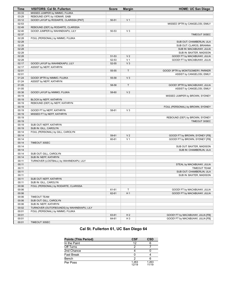| <b>Time</b> | <b>VISITORS: Cal St. Fullerton</b>         | <b>Score</b> | <b>Margin</b>  | <b>HOME: UC San Diego</b>         |
|-------------|--------------------------------------------|--------------|----------------|-----------------------------------|
| 03:33       | MISSED JUMPER by NIMMO, FUJIKA             |              |                |                                   |
| 03:29       | REBOUND (OFF) by VIDMAR, GABI              |              |                |                                   |
| 03:12       | GOOD! LAYUP by RODARTE, CLARISSA [PNT]     | $50 - 51$    | V <sub>1</sub> |                                   |
| 02:53       |                                            |              |                | MISSED 3PTR by CANGELOSI, EMILY   |
| 02:49       | REBOUND (DEF) by RODARTE, CLARISSA         |              |                |                                   |
| 02:40       | GOOD! JUMPER by WAHINEKAPU, LILY           | 50-53        | $V_3$          |                                   |
| 02:37       |                                            |              |                | TIMEOUT 30SEC                     |
| 02:28       | FOUL (PERSONAL) by NIMMO, FUJIKA           |              |                |                                   |
| 02:28       |                                            |              |                | SUB OUT: CHAMBERLIN, ULA          |
| 02:28       |                                            |              |                | SUB OUT: CLAROS, BRIANNA          |
| 02:28       |                                            |              |                | SUB IN: MACABUHAY, JULIA          |
| 02:28       |                                            |              |                | SUB IN: BAXTER, MADISON           |
| 02:28       |                                            | 51-53        | V <sub>2</sub> | GOOD! FT by MACABUHAY, JULIA      |
| 02:28       |                                            | 52-53        | V <sub>1</sub> | GOOD! FT by MACABUHAY, JULIA      |
| 02:17       | GOOD! LAYUP by WAHINEKAPU, LILY            | 52-55        | $V_3$          |                                   |
| 02:17       | ASSIST by NEFF, KATHRYN                    |              |                |                                   |
| 02:01       |                                            | 55-55        | $\mathsf T$    | GOOD! 3PTR by MONTGOMERY, PARKER  |
| 02:01       |                                            |              |                | ASSIST by CANGELOSI, EMILY        |
| 01:24       | GOOD! 3PTR by NIMMO, FUJIKA                | 55-58        | $V_3$          |                                   |
| 01:24       | ASSIST by NEFF, KATHRYN                    |              |                |                                   |
| 01:05       |                                            | 58-58        | T              | GOOD! 3PTR by MACABUHAY, JULIA    |
| 01:05       |                                            |              |                | ASSIST by CANGELOSI, EMILY        |
| 00:38       | GOOD! LAYUP by NIMMO, FUJIKA               | 58-60        | V <sub>2</sub> |                                   |
| 00:19       |                                            |              |                | MISSED JUMPER by BROWN, SYDNEY    |
| 00:19       | BLOCK by NEFF, KATHRYN                     |              |                |                                   |
| 00:19       | REBOUND (DEF) by NEFF, KATHRYN             |              |                |                                   |
| 00:19       |                                            |              |                | FOUL (PERSONAL) by BROWN, SYDNEY  |
| 00:19       | GOOD! FT by NEFF, KATHRYN                  | 58-61        | $V_3$          |                                   |
| 00:19       | MISSED FT by NEFF, KATHRYN                 |              |                |                                   |
| 00:19       |                                            |              |                | REBOUND (DEF) by BROWN, SYDNEY    |
| 00:19       |                                            |              |                | TIMEOUT 30SEC                     |
| 00:19       | SUB OUT: NEFF, KATHRYN                     |              |                |                                   |
| 00:19       | SUB IN: GILL, CAROLYN                      |              |                |                                   |
| 00:14       | FOUL (PERSONAL) by GILL, CAROLYN           |              |                |                                   |
| 00:14       |                                            | 59-61        | V <sub>2</sub> | GOOD! FT by BROWN, SYDNEY [FB]    |
| 00:14       |                                            | 60-61        | V <sub>1</sub> | GOOD! FT by BROWN, SYDNEY [FB]    |
| 00:14       | <b>TIMEOUT 30SEC</b>                       |              |                |                                   |
| 00:14       |                                            |              |                | SUB OUT: BAXTER, MADISON          |
| 00:14       |                                            |              |                | SUB IN: CHAMBERLIN, ULA           |
| 00:14       | SUB OUT: GILL, CAROLYN                     |              |                |                                   |
| 00:14       | SUB IN: NEFF, KATHRYN                      |              |                |                                   |
| 00:11       | TURNOVER (LOSTBALL) by WAHINEKAPU, LILY    |              |                |                                   |
| 00:11       |                                            |              |                | STEAL by MACABUHAY, JULIA         |
| 00:11       |                                            |              |                | <b>TIMEOUT TEAM</b>               |
| 00:11       |                                            |              |                | SUB OUT: CHAMBERLIN, ULA          |
| 00:11       |                                            |              |                | SUB IN: BAXTER, MADISON           |
| 00:11       | SUB OUT: NEFF, KATHRYN                     |              |                |                                   |
| 00:11       | SUB IN: GILL, CAROLYN                      |              |                |                                   |
| 00:06       | FOUL (PERSONAL) by RODARTE, CLARISSA       |              |                |                                   |
| 00:06       |                                            | 61-61        | T              | GOOD! FT by MACABUHAY, JULIA      |
| 00:06       |                                            | 62-61        | H <sub>1</sub> | GOOD! FT by MACABUHAY, JULIA      |
| 00:06       | <b>TIMEOUT TEAM</b>                        |              |                |                                   |
| 00:06       | SUB OUT: GILL, CAROLYN                     |              |                |                                   |
| 00:06       | SUB IN: NEFF, KATHRYN                      |              |                |                                   |
| 00:02       | TURNOVER (OUTOFBOUNDS) by WAHINEKAPU, LILY |              |                |                                   |
| 00:01       | FOUL (PERSONAL) by NIMMO, FUJIKA           |              |                |                                   |
| 00:01       |                                            | 63-61        | H <sub>2</sub> | GOOD! FT by MACABUHAY, JULIA [FB] |
| 00:01       |                                            | 64-61        | H <sub>3</sub> | GOOD! FT by MACABUHAY, JULIA [FB] |
| 00:01       | TIMEOUT 30SEC                              |              |                |                                   |

# **Cal St. Fullerton 61, UC San Diego 64**

| <b>Points (This Period)</b> | <b>CSF</b>     | <b>CSD</b>     |
|-----------------------------|----------------|----------------|
| In the Paint                | 12             |                |
| Off Turns                   |                |                |
| 2nd Chance                  |                |                |
| <b>Fast Break</b>           |                |                |
| Bench                       |                |                |
| Per Poss                    | 1.263<br>12/19 | 1.263<br>11/19 |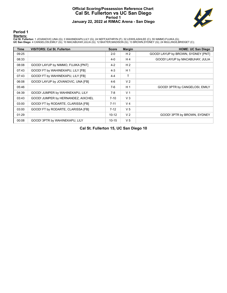# **Official Scoring/Possession Reference Chart Cal St. Fullerton vs UC San Diego Period 1 January 22, 2022 at RIMAC Arena - San Diego**



**Period 1**

#### **Starters:**

Cal St. Fullerton: 1 JOVANOVIC,UNA (G); 3 WAHINEKAPU,LILY (G); 24 NEFF,KATHRYN (F); 32 LEWIS,ASHLEE (C); 55 NIMMO,FUJIKA (G);<br>UC San Diego: 4 CANGELOSI,EMILY (G); 10 MACABUHAY,JULIA (G); 12 BAXTER,MADISON (G); 13 BROWN,SYD

| Time  | <b>VISITORS: Cal St. Fullerton</b> | <b>Score</b> | <b>Margin</b>  | <b>HOME: UC San Diego</b>          |
|-------|------------------------------------|--------------|----------------|------------------------------------|
| 09:25 |                                    | $2 - 0$      | H <sub>2</sub> | GOOD! LAYUP by BROWN, SYDNEY [PNT] |
| 08:33 |                                    | $4 - 0$      | H 4            | GOOD! LAYUP by MACABUHAY, JULIA    |
| 08:08 | GOOD! LAYUP by NIMMO, FUJIKA [PNT] | $4 - 2$      | H <sub>2</sub> |                                    |
| 07:43 | GOOD! FT by WAHINEKAPU, LILY [FB]  | $4 - 3$      | H <sub>1</sub> |                                    |
| 07:43 | GOOD! FT by WAHINEKAPU, LILY [FB]  | $4 - 4$      |                |                                    |
| 06:08 | GOOD! LAYUP by JOVANOVIC, UNA [FB] | $4-6$        | V <sub>2</sub> |                                    |
| 05:46 |                                    | $7-6$        | H <sub>1</sub> | GOOD! 3PTR by CANGELOSI, EMILY     |
| 04:39 | GOOD! JUMPER by WAHINEKAPU, LILY   | $7-8$        | V <sub>1</sub> |                                    |
| 03:43 | GOOD! JUMPER by HERNANDEZ, AIXCHEL | $7 - 10$     | V <sub>3</sub> |                                    |
| 03:00 | GOOD! FT by RODARTE, CLARISSA [FB] | $7 - 11$     | V <sub>4</sub> |                                    |
| 03:00 | GOOD! FT by RODARTE, CLARISSA [FB] | $7-12$       | V <sub>5</sub> |                                    |
| 01:29 |                                    | $10 - 12$    | V <sub>2</sub> | GOOD! 3PTR by BROWN, SYDNEY        |
| 00:08 | GOOD! 3PTR by WAHINEKAPU, LILY     | $10 - 15$    | V <sub>5</sub> |                                    |

**Cal St. Fullerton 15, UC San Diego 10**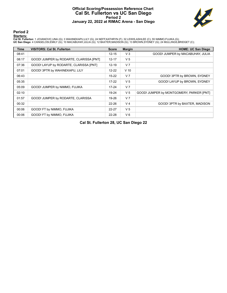# **Official Scoring/Possession Reference Chart Cal St. Fullerton vs UC San Diego Period 2 January 22, 2022 at RIMAC Arena - San Diego**



**Period 2**

#### **Starters:**

Cal St. Fullerton: 1 JOVANOVIC,UNA (G); 3 WAHINEKAPU,LILY (G); 24 NEFF,KATHRYN (F); 32 LEWIS,ASHLEE (C); 55 NIMMO,FUJIKA (G);<br>UC San Diego: 4 CANGELOSI,EMILY (G); 10 MACABUHAY,JULIA (G); 12 BAXTER,MADISON (G); 13 BROWN,SYD

| <b>Time</b> | <b>VISITORS: Cal St. Fullerton</b>      | <b>Score</b> | <b>Margin</b>  | <b>HOME: UC San Diego</b>                |
|-------------|-----------------------------------------|--------------|----------------|------------------------------------------|
| 08:41       |                                         | $12 - 15$    | $V_3$          | GOOD! JUMPER by MACABUHAY, JULIA         |
| 08:17       | GOOD! JUMPER by RODARTE, CLARISSA [PNT] | 12-17        | V <sub>5</sub> |                                          |
| 07:36       | GOOD! LAYUP by RODARTE, CLARISSA [PNT]  | $12 - 19$    | V <sub>7</sub> |                                          |
| 07:01       | GOOD! 3PTR by WAHINEKAPU, LILY          | $12 - 22$    | $V$ 10         |                                          |
| 06:43       |                                         | $15-22$      | V <sub>7</sub> | GOOD! 3PTR by BROWN, SYDNEY              |
| 05:35       |                                         | $17-22$      | V <sub>5</sub> | GOOD! LAYUP by BROWN, SYDNEY             |
| 05:09       | GOOD! JUMPER by NIMMO, FUJIKA           | $17 - 24$    | V <sub>7</sub> |                                          |
| 02:10       |                                         | 19-24        | V <sub>5</sub> | GOOD! JUMPER by MONTGOMERY, PARKER [PNT] |
| 01:57       | GOOD! JUMPER by RODARTE, CLARISSA       | 19-26        | V <sub>7</sub> |                                          |
| 00:32       |                                         | $22 - 26$    | V <sub>4</sub> | GOOD! 3PTR by BAXTER, MADISON            |
| 00:06       | GOOD! FT by NIMMO, FUJIKA               | 22-27        | V <sub>5</sub> |                                          |
| 00:06       | GOOD! FT by NIMMO, FUJIKA               | 22-28        | $V_6$          |                                          |

**Cal St. Fullerton 28, UC San Diego 22**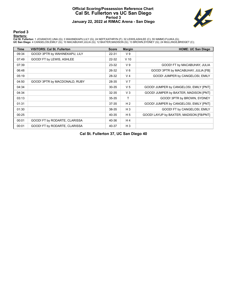# **Official Scoring/Possession Reference Chart Cal St. Fullerton vs UC San Diego Period 3 January 22, 2022 at RIMAC Arena - San Diego**



**Period 3**

#### **Starters:**

Cal St. Fullerton: 1 JOVANOVIC,UNA (G); 3 WAHINEKAPU,LILY (G); 24 NEFF,KATHRYN (F); 32 LEWIS,ASHLEE (C); 55 NIMMO,FUJIKA (G);<br>UC San Diego: 4 CANGELOSI,EMILY (G); 10 MACABUHAY,JULIA (G); 12 BAXTER,MADISON (G); 13 BROWN,SYD

| <b>Time</b> | <b>VISITORS: Cal St. Fullerton</b> | <b>Score</b> | <b>Margin</b>  | <b>HOME: UC San Diego</b>               |
|-------------|------------------------------------|--------------|----------------|-----------------------------------------|
| 09:34       | GOOD! 3PTR by WAHINEKAPU, LILY     | 22-31        | V <sub>9</sub> |                                         |
| 07:49       | GOOD! FT by LEWIS, ASHLEE          | 22-32        | $V$ 10         |                                         |
| 07:39       |                                    | 23-32        | V <sub>9</sub> | GOOD! FT by MACABUHAY, JULIA            |
| 06:48       |                                    | 26-32        | $V_6$          | GOOD! 3PTR by MACABUHAY, JULIA [FB]     |
| 05:19       |                                    | 28-32        | V <sub>4</sub> | GOOD! JUMPER by CANGELOSI, EMILY        |
| 04:50       | GOOD! 3PTR by MACDONALD, RUBY      | 28-35        | V <sub>7</sub> |                                         |
| 04:34       |                                    | 30-35        | V <sub>5</sub> | GOOD! JUMPER by CANGELOSI, EMILY [PNT]  |
| 04:34       |                                    | $32 - 35$    | $V_3$          | GOOD! JUMPER by BAXTER, MADISON [PNT]   |
| 03:13       |                                    | 35-35        | т              | GOOD! 3PTR by BROWN, SYDNEY             |
| 01:31       |                                    | 37-35        | H <sub>2</sub> | GOOD! JUMPER by CANGELOSI, EMILY [PNT]  |
| 01:30       |                                    | 38-35        | $H_3$          | GOOD! FT by CANGELOSI, EMILY            |
| 00:25       |                                    | 40-35        | H <sub>5</sub> | GOOD! LAYUP by BAXTER, MADISON [FB/PNT] |
| 00:01       | GOOD! FT by RODARTE, CLARISSA      | 40-36        | H <sub>4</sub> |                                         |
| 00:01       | GOOD! FT by RODARTE, CLARISSA      | 40-37        | $H_3$          |                                         |

**Cal St. Fullerton 37, UC San Diego 40**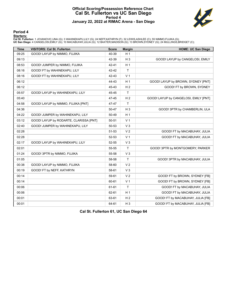# **Official Scoring/Possession Reference Chart Cal St. Fullerton vs UC San Diego Period 4 January 22, 2022 at RIMAC Arena - San Diego**



**Period 4**

#### **Starters:**

Cal St. Fullerton: 1 JOVANOVIC,UNA (G); 3 WAHINEKAPU,LILY (G); 24 NEFF,KATHRYN (F); 32 LEWIS,ASHLEE (C); 55 NIMMO,FUJIKA (G);<br>UC San Diego: 4 CANGELOSI,EMILY (G); 10 MACABUHAY,JULIA (G); 12 BAXTER,MADISON (G); 13 BROWN,SYD

| <b>Time</b> | <b>VISITORS: Cal St. Fullerton</b>     | <b>Score</b> | <b>Margin</b>  | <b>HOME: UC San Diego</b>             |
|-------------|----------------------------------------|--------------|----------------|---------------------------------------|
| 09:25       | GOOD! LAYUP by NIMMO, FUJIKA           | 40-39        | H <sub>1</sub> |                                       |
| 09:13       |                                        | 42-39        | $H_3$          | GOOD! LAYUP by CANGELOSI, EMILY       |
| 08:53       | GOOD! JUMPER by NIMMO, FUJIKA          | 42-41        | H <sub>1</sub> |                                       |
| 08:16       | GOOD! FT by WAHINEKAPU, LILY           | 42-42        | $\mathsf{T}$   |                                       |
| 08:16       | GOOD! FT by WAHINEKAPU, LILY           | 42-43        | V <sub>1</sub> |                                       |
| 06:12       |                                        | 44-43        | H <sub>1</sub> | GOOD! LAYUP by BROWN, SYDNEY [PNT]    |
| 06:12       |                                        | 45-43        | H <sub>2</sub> | GOOD! FT by BROWN, SYDNEY             |
| 05:57       | GOOD! LAYUP by WAHINEKAPU, LILY        | 45-45        | $\mathsf{T}$   |                                       |
| 05:40       |                                        | 47-45        | H <sub>2</sub> | GOOD! LAYUP by CANGELOSI, EMILY [PNT] |
| 04:58       | GOOD! LAYUP by NIMMO, FUJIKA [PNT]     | 47-47        | $\mathsf T$    |                                       |
| 04:36       |                                        | 50-47        | $H_3$          | GOOD! 3PTR by CHAMBERLIN, ULA         |
| 04:22       | GOOD! JUMPER by WAHINEKAPU, LILY       | 50-49        | H <sub>1</sub> |                                       |
| 03:12       | GOOD! LAYUP by RODARTE, CLARISSA [PNT] | 50-51        | V <sub>1</sub> |                                       |
| 02:40       | GOOD! JUMPER by WAHINEKAPU, LILY       | 50-53        | V <sub>3</sub> |                                       |
| 02:28       |                                        | 51-53        | V <sub>2</sub> | GOOD! FT by MACABUHAY, JULIA          |
| 02:28       |                                        | 52-53        | V <sub>1</sub> | GOOD! FT by MACABUHAY, JULIA          |
| 02:17       | GOOD! LAYUP by WAHINEKAPU, LILY        | 52-55        | $V_3$          |                                       |
| 02:01       |                                        | 55-55        | $\mathsf{T}$   | GOOD! 3PTR by MONTGOMERY, PARKER      |
| 01:24       | GOOD! 3PTR by NIMMO, FUJIKA            | 55-58        | $V_3$          |                                       |
| 01:05       |                                        | 58-58        | T              | GOOD! 3PTR by MACABUHAY, JULIA        |
| 00:38       | GOOD! LAYUP by NIMMO, FUJIKA           | 58-60        | V <sub>2</sub> |                                       |
| 00:19       | GOOD! FT by NEFF, KATHRYN              | 58-61        | V <sub>3</sub> |                                       |
| 00:14       |                                        | 59-61        | V <sub>2</sub> | GOOD! FT by BROWN, SYDNEY [FB]        |
| 00:14       |                                        | 60-61        | V <sub>1</sub> | GOOD! FT by BROWN, SYDNEY [FB]        |
| 00:06       |                                        | 61-61        | $\mathsf{T}$   | GOOD! FT by MACABUHAY, JULIA          |
| 00:06       |                                        | 62-61        | H <sub>1</sub> | GOOD! FT by MACABUHAY, JULIA          |
| 00:01       |                                        | 63-61        | H <sub>2</sub> | GOOD! FT by MACABUHAY, JULIA [FB]     |
| 00:01       |                                        | 64-61        | $H_3$          | GOOD! FT by MACABUHAY, JULIA [FB]     |

**Cal St. Fullerton 61, UC San Diego 64**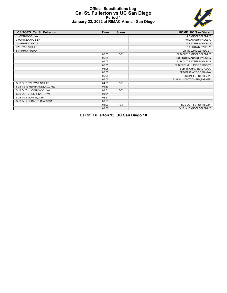## **Official Substitutions Log Cal St. Fullerton vs UC San Diego Period 1 January 22, 2022 at RIMAC Arena - San Diego**



| <b>VISITORS: Cal St. Fullerton</b> | <b>Time</b> | <b>Score</b> | <b>HOME: UC San Diego</b>  |
|------------------------------------|-------------|--------------|----------------------------|
| 1 JOVANOVIC, UNA                   |             |              | 4 CANGELOSI, EMILY         |
| 3 WAHINEKAPU, LILY                 |             |              | 10 MACABUHAY, JULIA        |
| 24 NEFF, KATHRYN                   |             |              | 12 BAXTER, MADISON         |
| 32 LEWIS, ASHLEE                   |             |              | 13 BROWN, SYDNEY           |
| 55 NIMMO, FUJIKA                   |             |              | 24 MULLINGS, BRIDGET       |
|                                    | 05:05       | $6 - 7$      | SUB OUT: CANGELOSI, EMILY  |
|                                    | 05:05       |              | SUB OUT: MACABUHAY, JULIA  |
|                                    | 05:05       |              | SUB OUT: BAXTER, MADISON   |
|                                    | 05:05       |              | SUB OUT: MULLINGS, BRIDGET |
|                                    | 05:05       |              | SUB IN: CHAMBERLIN, ULA    |
|                                    | 05:05       |              | SUB IN: CLAROS, BRIANNA    |
|                                    | 05:05       |              | SUB IN: FORSYTH, IZZY      |
|                                    | 05:05       |              | SUB IN: MONTGOMERY, PARKER |
| SUB OUT: 32 LEWIS, ASHLEE          | 04:59       | $6 - 7$      |                            |
| SUB IN: 13 HERNANDEZ, AIXCHEL      | 04:59       |              |                            |
| SUB OUT: 1 JOVANOVIC, UNA          | 03:51       | $8 - 7$      |                            |
| SUB OUT: 24 NEFF, KATHRYN          | 03:51       |              |                            |
| SUB IN: 4 VIDMAR, GABI             | 03:51       |              |                            |
| SUB IN: 5 RODARTE, CLARISSA        | 03:51       |              |                            |
|                                    | 03:00       | $10 - 7$     | SUB OUT: FORSYTH, IZZY     |
|                                    | 03:00       |              | SUB IN: CANGELOSI, EMILY   |

**Cal St. Fullerton 15, UC San Diego 10**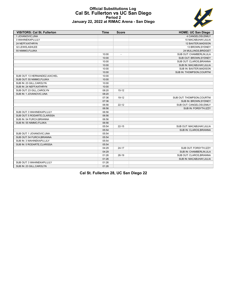### **Official Substitutions Log Cal St. Fullerton vs UC San Diego Period 2 January 22, 2022 at RIMAC Arena - San Diego**



| <b>VISITORS: Cal St. Fullerton</b> | <b>Time</b> | <b>Score</b>             | <b>HOME: UC San Diego</b>  |
|------------------------------------|-------------|--------------------------|----------------------------|
| 1 JOVANOVIC.UNA                    |             |                          | 4 CANGELOSI.EMILY          |
| 3 WAHINEKAPU, LILY                 |             |                          | 10 MACABUHAY, JULIA        |
| 24 NEFF, KATHRYN                   |             |                          | 12 BAXTER, MADISON         |
| 32 LEWIS, ASHLEE                   |             |                          | 13 BROWN, SYDNEY           |
| 55 NIMMO, FUJIKA                   |             |                          | 24 MULLINGS, BRIDGET       |
|                                    | 10:00       | $\overline{\phantom{a}}$ | SUB OUT: CHAMBERLIN, ULA   |
|                                    | 10:00       |                          | SUB OUT: BROWN, SYDNEY     |
|                                    | 10:00       |                          | SUB OUT: CLAROS, BRIANNA   |
|                                    | 10:00       |                          | SUB IN: MACABUHAY, JULIA   |
|                                    | 10:00       |                          | SUB IN: BAXTER, MADISON    |
|                                    | 10:00       |                          | SUB IN: THOMPSON, COURTNI  |
| SUB OUT: 13 HERNANDEZ, AIXCHEL     | 10:00       |                          |                            |
| SUB OUT: 55 NIMMO, FUJIKA          | 10:00       |                          |                            |
| SUB IN: 23 GILL, CAROLYN           | 10:00       |                          |                            |
| SUB IN: 24 NEFF, KATHRYN           | 10:00       |                          |                            |
| SUB OUT: 23 GILL, CAROLYN          | 08:20       | $15 - 12$                |                            |
| SUB IN: 1 JOVANOVIC, UNA           | 08:20       |                          |                            |
|                                    | 07:36       | 19-12                    | SUB OUT: THOMPSON, COURTNI |
|                                    | 07:36       |                          | SUB IN: BROWN, SYDNEY      |
|                                    | 06:56       | $22 - 12$                | SUB OUT: CANGELOSI, EMILY  |
|                                    | 06:56       |                          | SUB IN: FORSYTH, IZZY      |
| SUB OUT: 3 WAHINEKAPU, LILY        | 06:56       |                          |                            |
| SUB OUT: 5 RODARTE, CLARISSA       | 06:56       |                          |                            |
| SUB IN: 54 FURCH, BRIANNA          | 06:56       |                          |                            |
| SUB IN: 55 NIMMO, FUJIKA           | 06:56       |                          |                            |
|                                    | 05:54       | $22 - 15$                | SUB OUT: MACABUHAY, JULIA  |
|                                    | 05:54       |                          | SUB IN: CLAROS, BRIANNA    |
| SUB OUT: 1 JOVANOVIC, UNA          | 05:54       |                          |                            |
| SUB OUT: 54 FURCH, BRIANNA         | 05:54       |                          |                            |
| SUB IN: 3 WAHINEKAPU, LILY         | 05:54       |                          |                            |
| SUB IN: 5 RODARTE, CLARISSA        | 05:54       |                          |                            |
|                                    | 04:29       | $24 - 17$                | SUB OUT: FORSYTH, IZZY     |
|                                    | 04:29       |                          | SUB IN: CHAMBERLIN, ULA    |
|                                    | 01:26       | $26-19$                  | SUB OUT: CLAROS, BRIANNA   |
|                                    | 01:26       |                          | SUB IN: MACABUHAY, JULIA   |
| SUB OUT: 3 WAHINEKAPU,LILY         | 01:26       |                          |                            |
| SUB IN: 23 GILL, CAROLYN           | 01:26       |                          |                            |

**Cal St. Fullerton 28, UC San Diego 22**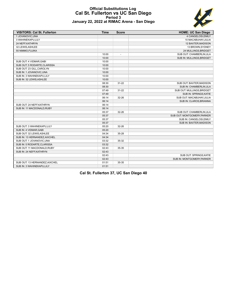### **Official Substitutions Log Cal St. Fullerton vs UC San Diego Period 3 January 22, 2022 at RIMAC Arena - San Diego**



| <b>VISITORS: Cal St. Fullerton</b> | <b>Time</b> | <b>Score</b>             | <b>HOME: UC San Diego</b>   |
|------------------------------------|-------------|--------------------------|-----------------------------|
| 1 JOVANOVIC, UNA                   |             |                          | 4 CANGELOSI.EMILY           |
| 3 WAHINEKAPU,LILY                  |             |                          | 10 MACABUHAY, JULIA         |
| 24 NEFF, KATHRYN                   |             |                          | 12 BAXTER, MADISON          |
| 32 LEWIS, ASHLEE                   |             |                          | 13 BROWN, SYDNEY            |
| 55 NIMMO, FUJIKA                   |             |                          | 24 MULLINGS, BRIDGET        |
|                                    | 10:00       | $\overline{\phantom{a}}$ | SUB OUT: CHAMBERLIN, ULA    |
|                                    | 10:00       |                          | SUB IN: MULLINGS, BRIDGET   |
| SUB OUT: 4 VIDMAR, GABI            | 10:00       |                          |                             |
| SUB OUT: 5 RODARTE.CLARISSA        | 10:00       |                          |                             |
| SUB OUT: 23 GILL, CAROLYN          | 10:00       |                          |                             |
| SUB IN: 1 JOVANOVIC, UNA           | 10:00       |                          |                             |
| SUB IN: 3 WAHINEKAPU, LILY         | 10:00       |                          |                             |
| SUB IN: 32 LEWIS, ASHLEE           | 10:00       |                          |                             |
|                                    | 08:30       | $31 - 22$                | SUB OUT: BAXTER, MADISON    |
|                                    | 08:30       |                          | SUB IN: CHAMBERLIN, ULA     |
|                                    | 07:49       | $31 - 22$                | SUB OUT: MULLINGS, BRIDGET  |
|                                    | 07:49       |                          | SUB IN: SPRINGS, KATIE      |
|                                    | 06:14       | $32 - 26$                | SUB OUT: MACABUHAY.JULIA    |
|                                    | 06:14       |                          | SUB IN: CLAROS, BRIANNA     |
| SUB OUT: 24 NEFF, KATHRYN          | 06:14       |                          |                             |
| SUB IN: 11 MACDONALD, RUBY         | 06:14       |                          |                             |
|                                    | 05:37       | 32-26                    | SUB OUT: CHAMBERLIN, ULA    |
|                                    | 05:37       |                          | SUB OUT: MONTGOMERY, PARKER |
|                                    | 05:37       |                          | SUB IN: CANGELOSI, EMILY    |
|                                    | 05:37       |                          | SUB IN: BAXTER, MADISON     |
| SUB OUT: 3 WAHINEKAPU,LILY         | 05:20       | 32-26                    |                             |
| SUB IN: 4 VIDMAR, GABI             | 05:20       |                          |                             |
| SUB OUT: 32 LEWIS, ASHLEE          | 04:34       | 35-28                    |                             |
| SUB IN: 13 HERNANDEZ, AIXCHEL      | 04:34       |                          |                             |
| SUB OUT: 1 JOVANOVIC, UNA          | 03:32       | 35-32                    |                             |
| SUB IN: 5 RODARTE, CLARISSA        | 03:32       |                          |                             |
| SUB OUT: 11 MACDONALD, RUBY        | 02:43       | 35-35                    |                             |
| SUB IN: 24 NEFF, KATHRYN           | 02:43       |                          |                             |
|                                    | 02:43       |                          | SUB OUT: SPRINGS, KATIE     |
|                                    | 02:43       |                          | SUB IN: MONTGOMERY, PARKER  |
| SUB OUT: 13 HERNANDEZ, AIXCHEL     | 01:51       | 35-35                    |                             |
| SUB IN: 3 WAHINEKAPU, LILY         | 01:51       |                          |                             |

**Cal St. Fullerton 37, UC San Diego 40**